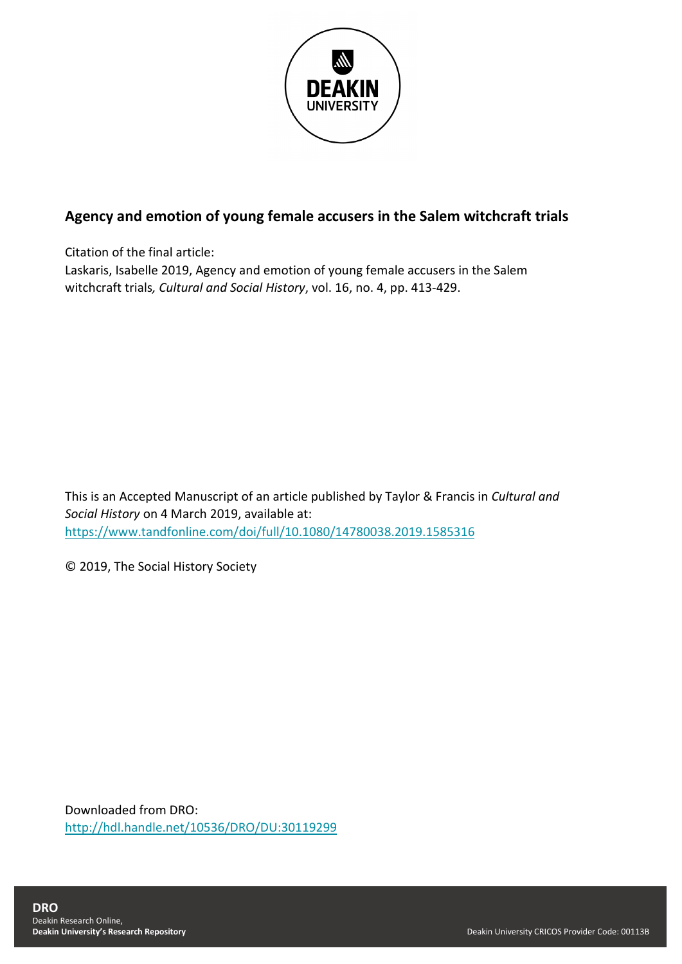

# **Agency and emotion of young female accusers in the Salem witchcraft trials**

Citation of the final article:

Laskaris, Isabelle 2019, Agency and emotion of young female accusers in the Salem witchcraft trials*, Cultural and Social History*, vol. 16, no. 4, pp. 413-429.

This is an Accepted Manuscript of an article published by Taylor & Francis in *Cultural and Social History* on 4 March 2019, available at: <https://www.tandfonline.com/doi/full/10.1080/14780038.2019.1585316>

© 2019, The Social History Society

Downloaded from DRO: <http://hdl.handle.net/10536/DRO/DU:30119299>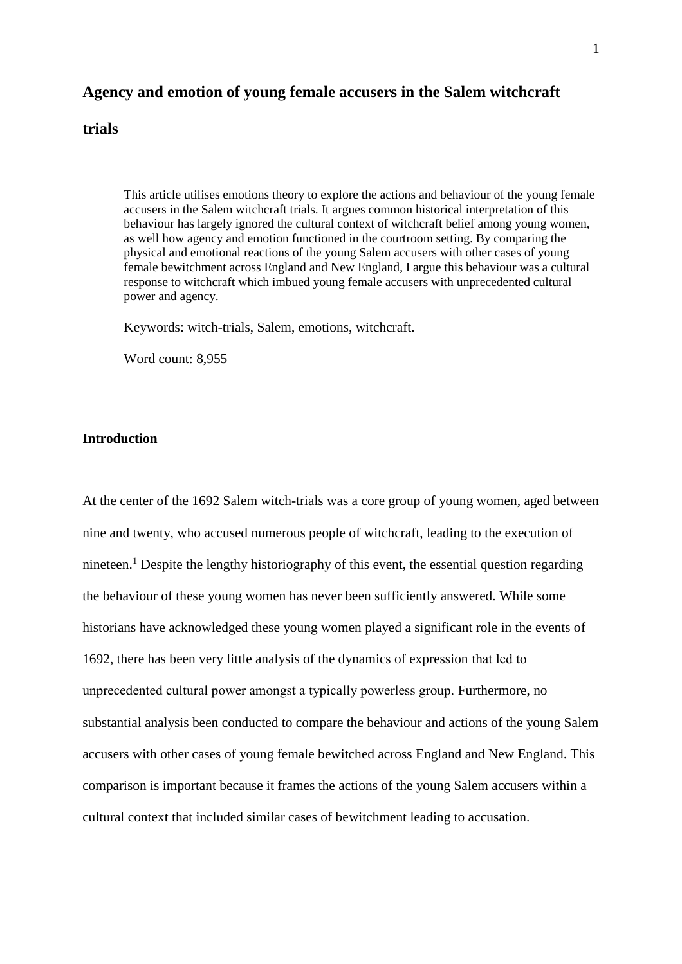# **Agency and emotion of young female accusers in the Salem witchcraft**

# **trials**

This article utilises emotions theory to explore the actions and behaviour of the young female accusers in the Salem witchcraft trials. It argues common historical interpretation of this behaviour has largely ignored the cultural context of witchcraft belief among young women, as well how agency and emotion functioned in the courtroom setting. By comparing the physical and emotional reactions of the young Salem accusers with other cases of young female bewitchment across England and New England, I argue this behaviour was a cultural response to witchcraft which imbued young female accusers with unprecedented cultural power and agency.

Keywords: witch-trials, Salem, emotions, witchcraft.

Word count: 8,955

# **Introduction**

At the center of the 1692 Salem witch-trials was a core group of young women, aged between nine and twenty, who accused numerous people of witchcraft, leading to the execution of nineteen.<sup>1</sup> Despite the lengthy historiography of this event, the essential question regarding the behaviour of these young women has never been sufficiently answered. While some historians have acknowledged these young women played a significant role in the events of 1692, there has been very little analysis of the dynamics of expression that led to unprecedented cultural power amongst a typically powerless group. Furthermore, no substantial analysis been conducted to compare the behaviour and actions of the young Salem accusers with other cases of young female bewitched across England and New England. This comparison is important because it frames the actions of the young Salem accusers within a cultural context that included similar cases of bewitchment leading to accusation.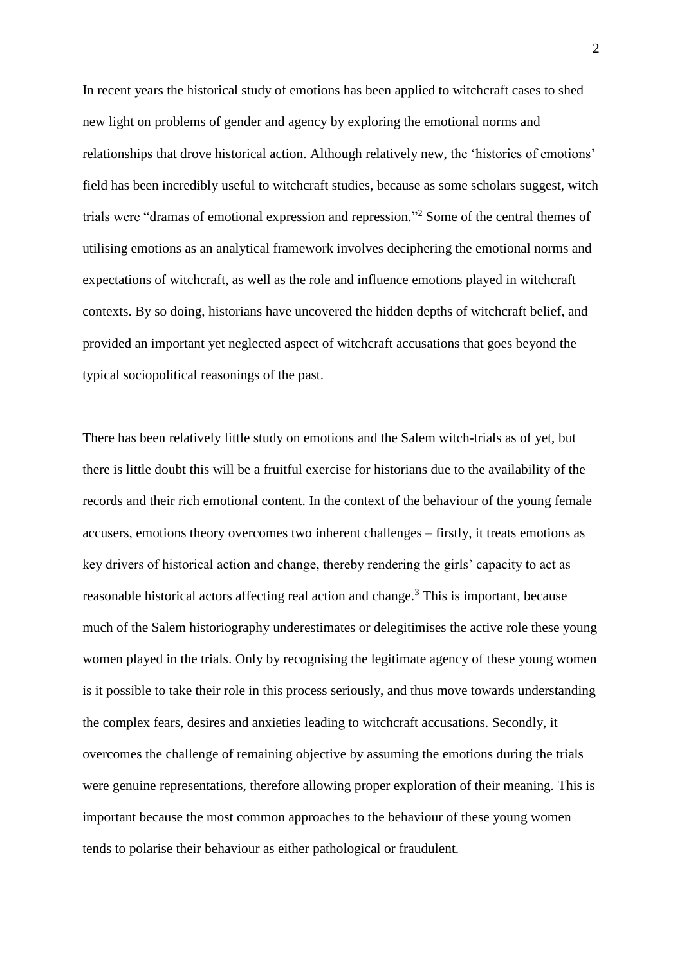In recent years the historical study of emotions has been applied to witchcraft cases to shed new light on problems of gender and agency by exploring the emotional norms and relationships that drove historical action. Although relatively new, the 'histories of emotions' field has been incredibly useful to witchcraft studies, because as some scholars suggest, witch trials were "dramas of emotional expression and repression." <sup>2</sup> Some of the central themes of utilising emotions as an analytical framework involves deciphering the emotional norms and expectations of witchcraft, as well as the role and influence emotions played in witchcraft contexts. By so doing, historians have uncovered the hidden depths of witchcraft belief, and provided an important yet neglected aspect of witchcraft accusations that goes beyond the typical sociopolitical reasonings of the past.

There has been relatively little study on emotions and the Salem witch-trials as of yet, but there is little doubt this will be a fruitful exercise for historians due to the availability of the records and their rich emotional content. In the context of the behaviour of the young female accusers, emotions theory overcomes two inherent challenges – firstly, it treats emotions as key drivers of historical action and change, thereby rendering the girls' capacity to act as reasonable historical actors affecting real action and change.<sup>3</sup> This is important, because much of the Salem historiography underestimates or delegitimises the active role these young women played in the trials. Only by recognising the legitimate agency of these young women is it possible to take their role in this process seriously, and thus move towards understanding the complex fears, desires and anxieties leading to witchcraft accusations. Secondly, it overcomes the challenge of remaining objective by assuming the emotions during the trials were genuine representations, therefore allowing proper exploration of their meaning. This is important because the most common approaches to the behaviour of these young women tends to polarise their behaviour as either pathological or fraudulent.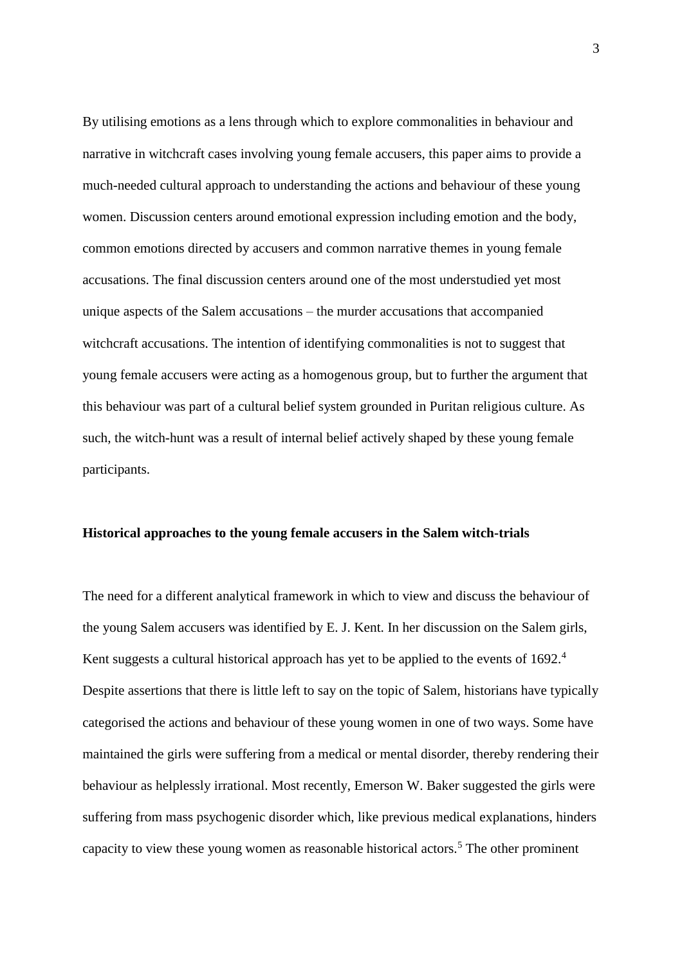By utilising emotions as a lens through which to explore commonalities in behaviour and narrative in witchcraft cases involving young female accusers, this paper aims to provide a much-needed cultural approach to understanding the actions and behaviour of these young women. Discussion centers around emotional expression including emotion and the body, common emotions directed by accusers and common narrative themes in young female accusations. The final discussion centers around one of the most understudied yet most unique aspects of the Salem accusations – the murder accusations that accompanied witchcraft accusations. The intention of identifying commonalities is not to suggest that young female accusers were acting as a homogenous group, but to further the argument that this behaviour was part of a cultural belief system grounded in Puritan religious culture. As such, the witch-hunt was a result of internal belief actively shaped by these young female participants.

#### **Historical approaches to the young female accusers in the Salem witch-trials**

The need for a different analytical framework in which to view and discuss the behaviour of the young Salem accusers was identified by E. J. Kent. In her discussion on the Salem girls, Kent suggests a cultural historical approach has yet to be applied to the events of 1692.<sup>4</sup> Despite assertions that there is little left to say on the topic of Salem, historians have typically categorised the actions and behaviour of these young women in one of two ways. Some have maintained the girls were suffering from a medical or mental disorder, thereby rendering their behaviour as helplessly irrational. Most recently, Emerson W. Baker suggested the girls were suffering from mass psychogenic disorder which, like previous medical explanations, hinders capacity to view these young women as reasonable historical actors.<sup>5</sup> The other prominent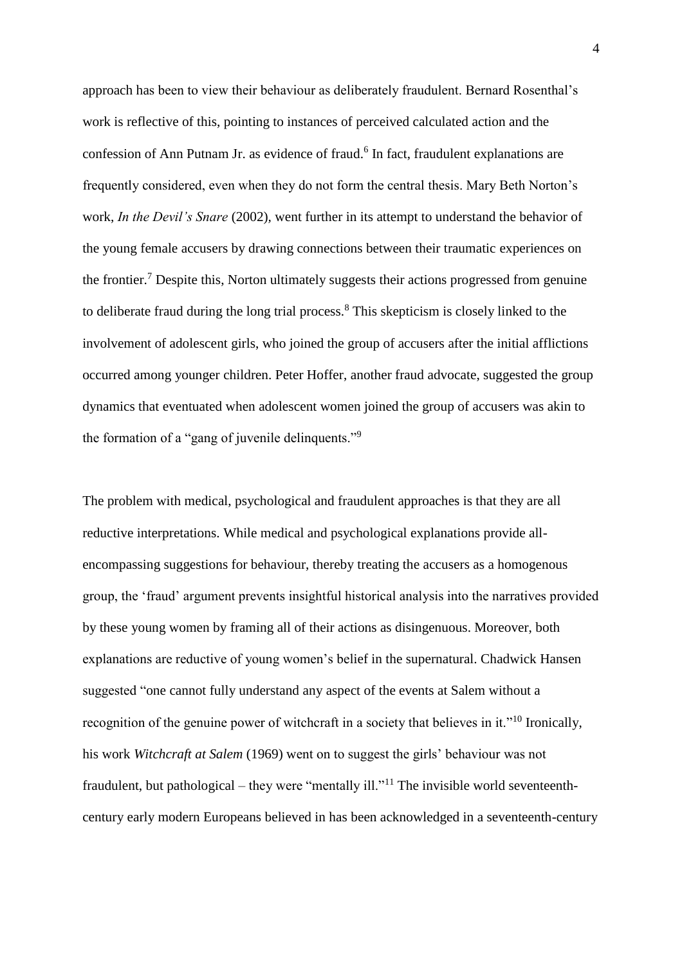approach has been to view their behaviour as deliberately fraudulent. Bernard Rosenthal's work is reflective of this, pointing to instances of perceived calculated action and the confession of Ann Putnam Jr. as evidence of fraud.<sup>6</sup> In fact, fraudulent explanations are frequently considered, even when they do not form the central thesis. Mary Beth Norton's work, *In the Devil's Snare* (2002)*,* went further in its attempt to understand the behavior of the young female accusers by drawing connections between their traumatic experiences on the frontier.<sup>7</sup> Despite this, Norton ultimately suggests their actions progressed from genuine to deliberate fraud during the long trial process.<sup>8</sup> This skepticism is closely linked to the involvement of adolescent girls, who joined the group of accusers after the initial afflictions occurred among younger children. Peter Hoffer, another fraud advocate, suggested the group dynamics that eventuated when adolescent women joined the group of accusers was akin to the formation of a "gang of juvenile delinquents."<sup>9</sup>

The problem with medical, psychological and fraudulent approaches is that they are all reductive interpretations. While medical and psychological explanations provide allencompassing suggestions for behaviour, thereby treating the accusers as a homogenous group, the 'fraud' argument prevents insightful historical analysis into the narratives provided by these young women by framing all of their actions as disingenuous. Moreover, both explanations are reductive of young women's belief in the supernatural. Chadwick Hansen suggested "one cannot fully understand any aspect of the events at Salem without a recognition of the genuine power of witchcraft in a society that believes in it."<sup>10</sup> Ironically, his work *Witchcraft at Salem* (1969) went on to suggest the girls' behaviour was not fraudulent, but pathological – they were "mentally ill."<sup>11</sup> The invisible world seventeenthcentury early modern Europeans believed in has been acknowledged in a seventeenth-century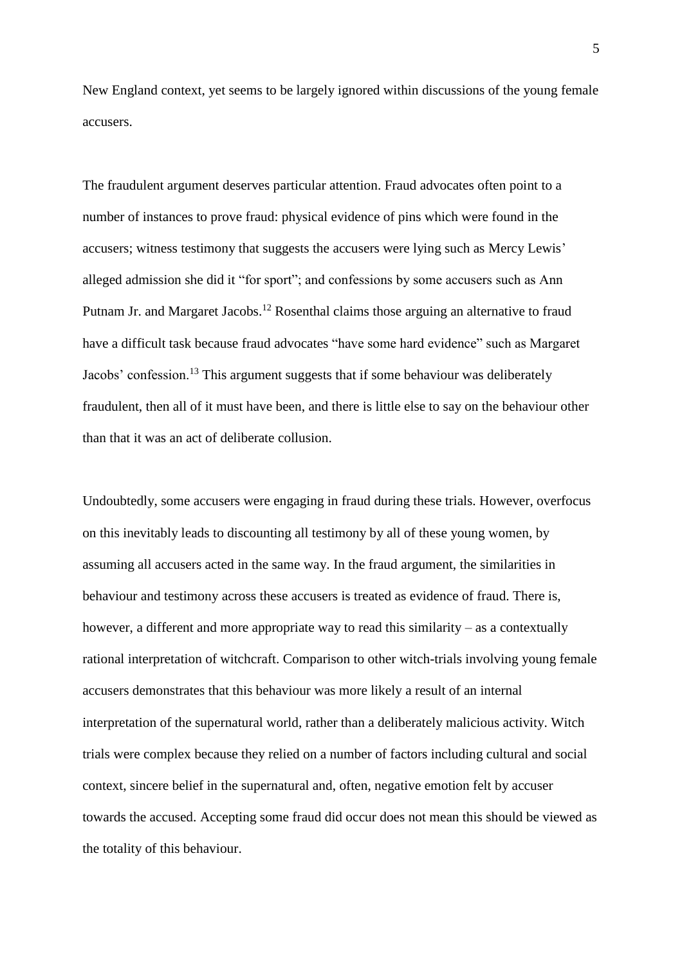New England context, yet seems to be largely ignored within discussions of the young female accusers.

The fraudulent argument deserves particular attention. Fraud advocates often point to a number of instances to prove fraud: physical evidence of pins which were found in the accusers; witness testimony that suggests the accusers were lying such as Mercy Lewis' alleged admission she did it "for sport"; and confessions by some accusers such as Ann Putnam Jr. and Margaret Jacobs.<sup>12</sup> Rosenthal claims those arguing an alternative to fraud have a difficult task because fraud advocates "have some hard evidence" such as Margaret Jacobs' confession.<sup>13</sup> This argument suggests that if some behaviour was deliberately fraudulent, then all of it must have been, and there is little else to say on the behaviour other than that it was an act of deliberate collusion.

Undoubtedly, some accusers were engaging in fraud during these trials. However, overfocus on this inevitably leads to discounting all testimony by all of these young women, by assuming all accusers acted in the same way. In the fraud argument, the similarities in behaviour and testimony across these accusers is treated as evidence of fraud. There is, however, a different and more appropriate way to read this similarity – as a contextually rational interpretation of witchcraft. Comparison to other witch-trials involving young female accusers demonstrates that this behaviour was more likely a result of an internal interpretation of the supernatural world, rather than a deliberately malicious activity. Witch trials were complex because they relied on a number of factors including cultural and social context, sincere belief in the supernatural and, often, negative emotion felt by accuser towards the accused. Accepting some fraud did occur does not mean this should be viewed as the totality of this behaviour.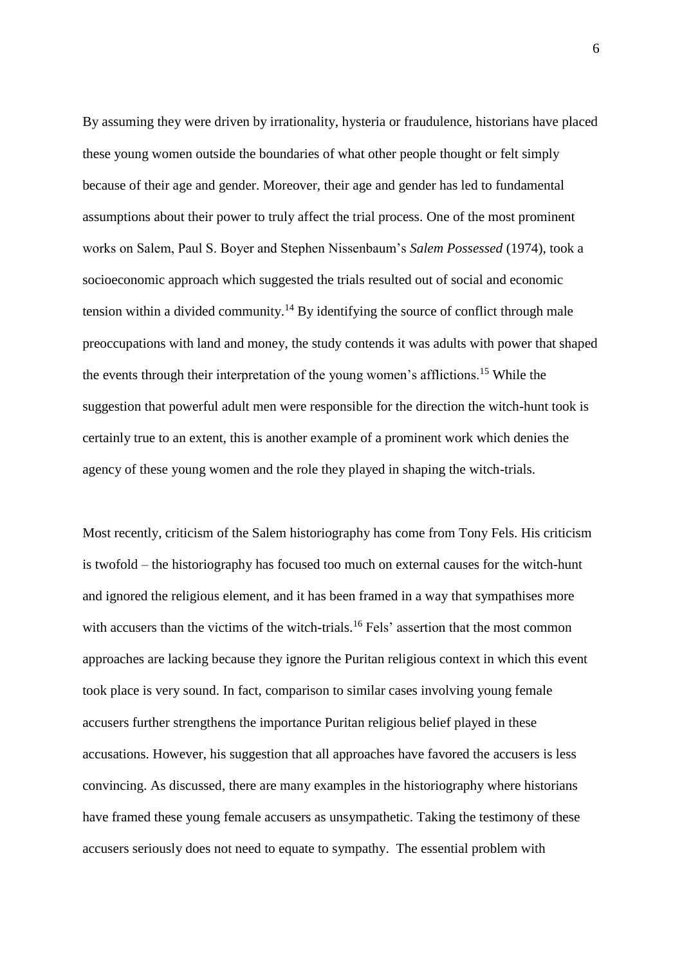By assuming they were driven by irrationality, hysteria or fraudulence, historians have placed these young women outside the boundaries of what other people thought or felt simply because of their age and gender. Moreover, their age and gender has led to fundamental assumptions about their power to truly affect the trial process. One of the most prominent works on Salem, Paul S. Boyer and Stephen Nissenbaum's *Salem Possessed* (1974)*,* took a socioeconomic approach which suggested the trials resulted out of social and economic tension within a divided community.<sup>14</sup> By identifying the source of conflict through male preoccupations with land and money, the study contends it was adults with power that shaped the events through their interpretation of the young women's afflictions.<sup>15</sup> While the suggestion that powerful adult men were responsible for the direction the witch-hunt took is certainly true to an extent, this is another example of a prominent work which denies the agency of these young women and the role they played in shaping the witch-trials.

Most recently, criticism of the Salem historiography has come from Tony Fels. His criticism is twofold – the historiography has focused too much on external causes for the witch-hunt and ignored the religious element, and it has been framed in a way that sympathises more with accusers than the victims of the witch-trials.<sup>16</sup> Fels' assertion that the most common approaches are lacking because they ignore the Puritan religious context in which this event took place is very sound. In fact, comparison to similar cases involving young female accusers further strengthens the importance Puritan religious belief played in these accusations. However, his suggestion that all approaches have favored the accusers is less convincing. As discussed, there are many examples in the historiography where historians have framed these young female accusers as unsympathetic. Taking the testimony of these accusers seriously does not need to equate to sympathy. The essential problem with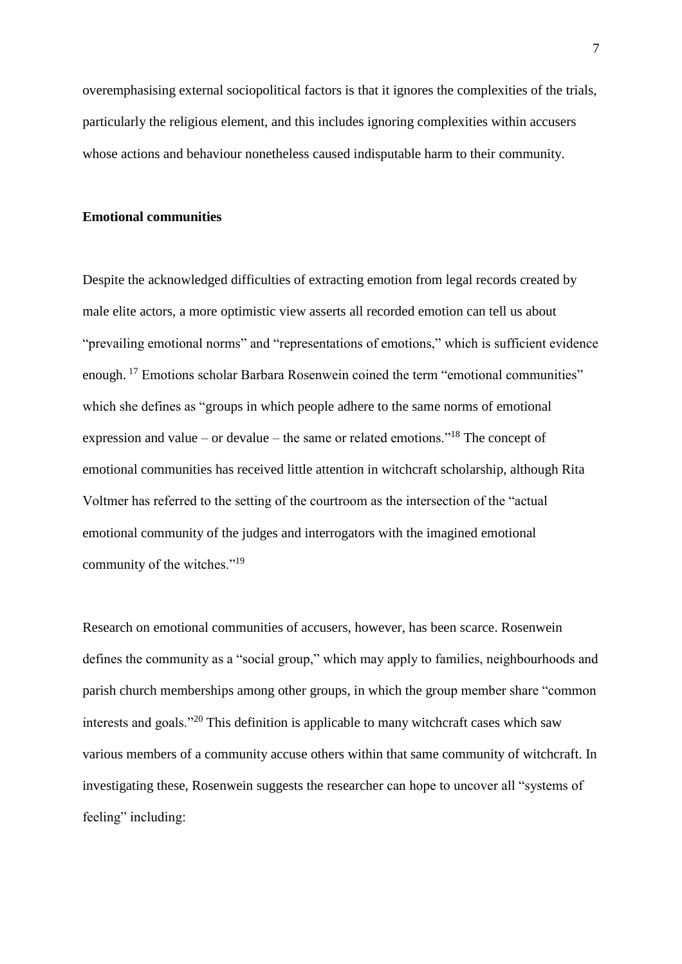overemphasising external sociopolitical factors is that it ignores the complexities of the trials, particularly the religious element, and this includes ignoring complexities within accusers whose actions and behaviour nonetheless caused indisputable harm to their community.

#### **Emotional communities**

Despite the acknowledged difficulties of extracting emotion from legal records created by male elite actors, a more optimistic view asserts all recorded emotion can tell us about "prevailing emotional norms" and "representations of emotions," which is sufficient evidence enough. <sup>17</sup> Emotions scholar Barbara Rosenwein coined the term "emotional communities" which she defines as "groups in which people adhere to the same norms of emotional expression and value – or devalue – the same or related emotions."<sup>18</sup> The concept of emotional communities has received little attention in witchcraft scholarship, although Rita Voltmer has referred to the setting of the courtroom as the intersection of the "actual emotional community of the judges and interrogators with the imagined emotional community of the witches."<sup>19</sup>

Research on emotional communities of accusers, however, has been scarce. Rosenwein defines the community as a "social group," which may apply to families, neighbourhoods and parish church memberships among other groups, in which the group member share "common interests and goals."<sup>20</sup> This definition is applicable to many witchcraft cases which saw various members of a community accuse others within that same community of witchcraft. In investigating these, Rosenwein suggests the researcher can hope to uncover all "systems of feeling" including: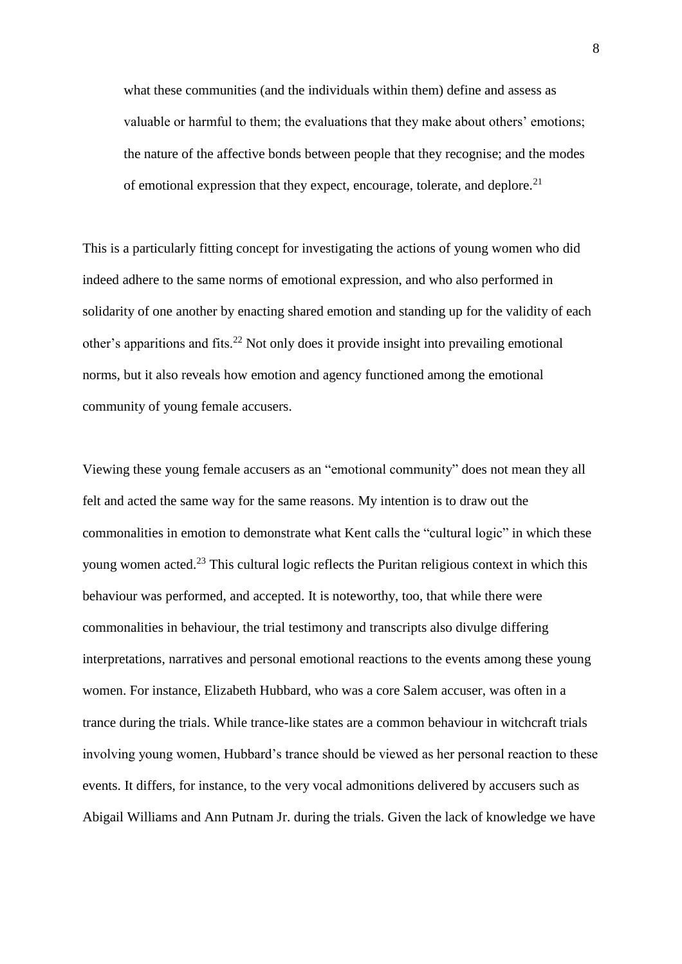what these communities (and the individuals within them) define and assess as valuable or harmful to them; the evaluations that they make about others' emotions; the nature of the affective bonds between people that they recognise; and the modes of emotional expression that they expect, encourage, tolerate, and deplore.<sup>21</sup>

This is a particularly fitting concept for investigating the actions of young women who did indeed adhere to the same norms of emotional expression, and who also performed in solidarity of one another by enacting shared emotion and standing up for the validity of each other's apparitions and fits.<sup>22</sup> Not only does it provide insight into prevailing emotional norms, but it also reveals how emotion and agency functioned among the emotional community of young female accusers.

Viewing these young female accusers as an "emotional community" does not mean they all felt and acted the same way for the same reasons. My intention is to draw out the commonalities in emotion to demonstrate what Kent calls the "cultural logic" in which these young women acted.<sup>23</sup> This cultural logic reflects the Puritan religious context in which this behaviour was performed, and accepted. It is noteworthy, too, that while there were commonalities in behaviour, the trial testimony and transcripts also divulge differing interpretations, narratives and personal emotional reactions to the events among these young women. For instance, Elizabeth Hubbard, who was a core Salem accuser, was often in a trance during the trials. While trance-like states are a common behaviour in witchcraft trials involving young women, Hubbard's trance should be viewed as her personal reaction to these events. It differs, for instance, to the very vocal admonitions delivered by accusers such as Abigail Williams and Ann Putnam Jr. during the trials. Given the lack of knowledge we have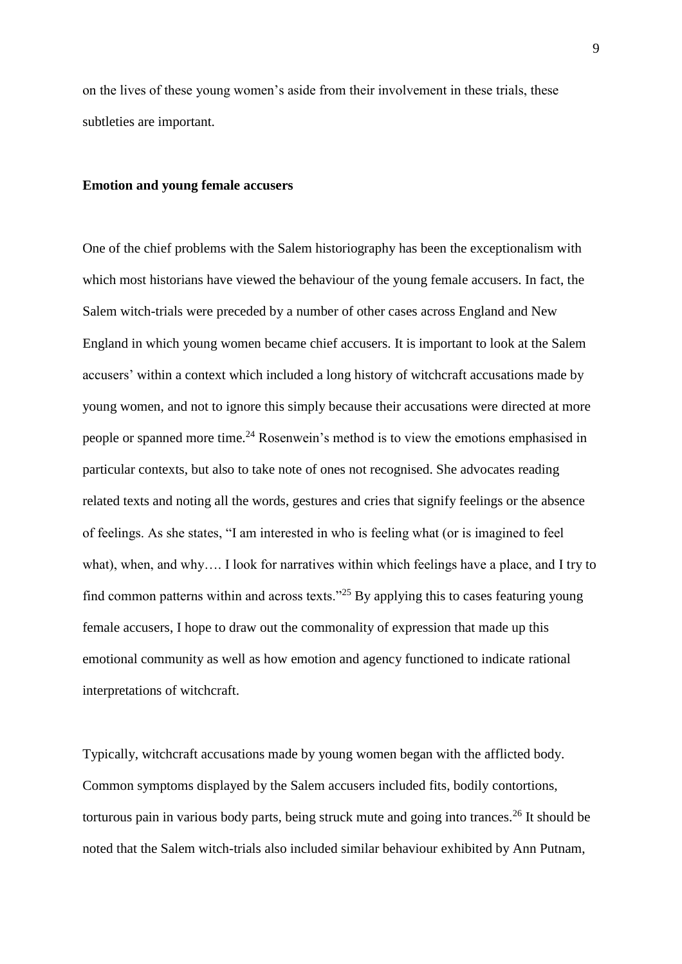on the lives of these young women's aside from their involvement in these trials, these subtleties are important.

#### **Emotion and young female accusers**

One of the chief problems with the Salem historiography has been the exceptionalism with which most historians have viewed the behaviour of the young female accusers. In fact, the Salem witch-trials were preceded by a number of other cases across England and New England in which young women became chief accusers. It is important to look at the Salem accusers' within a context which included a long history of witchcraft accusations made by young women, and not to ignore this simply because their accusations were directed at more people or spanned more time.<sup>24</sup> Rosenwein's method is to view the emotions emphasised in particular contexts, but also to take note of ones not recognised. She advocates reading related texts and noting all the words, gestures and cries that signify feelings or the absence of feelings. As she states, "I am interested in who is feeling what (or is imagined to feel what), when, and why…. I look for narratives within which feelings have a place, and I try to find common patterns within and across texts."<sup>25</sup> By applying this to cases featuring young female accusers, I hope to draw out the commonality of expression that made up this emotional community as well as how emotion and agency functioned to indicate rational interpretations of witchcraft.

Typically, witchcraft accusations made by young women began with the afflicted body. Common symptoms displayed by the Salem accusers included fits, bodily contortions, torturous pain in various body parts, being struck mute and going into trances.<sup>26</sup> It should be noted that the Salem witch-trials also included similar behaviour exhibited by Ann Putnam,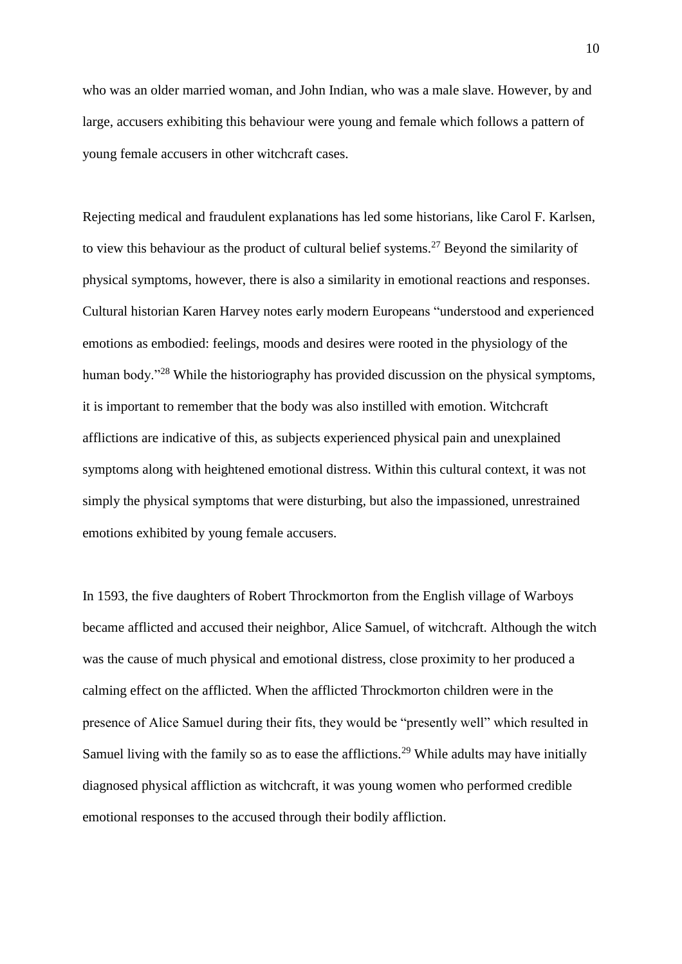who was an older married woman, and John Indian, who was a male slave. However, by and large, accusers exhibiting this behaviour were young and female which follows a pattern of young female accusers in other witchcraft cases.

Rejecting medical and fraudulent explanations has led some historians, like Carol F. Karlsen, to view this behaviour as the product of cultural belief systems.<sup>27</sup> Beyond the similarity of physical symptoms, however, there is also a similarity in emotional reactions and responses. Cultural historian Karen Harvey notes early modern Europeans "understood and experienced emotions as embodied: feelings, moods and desires were rooted in the physiology of the human body."<sup>28</sup> While the historiography has provided discussion on the physical symptoms, it is important to remember that the body was also instilled with emotion. Witchcraft afflictions are indicative of this, as subjects experienced physical pain and unexplained symptoms along with heightened emotional distress. Within this cultural context, it was not simply the physical symptoms that were disturbing, but also the impassioned, unrestrained emotions exhibited by young female accusers.

In 1593, the five daughters of Robert Throckmorton from the English village of Warboys became afflicted and accused their neighbor, Alice Samuel, of witchcraft. Although the witch was the cause of much physical and emotional distress, close proximity to her produced a calming effect on the afflicted. When the afflicted Throckmorton children were in the presence of Alice Samuel during their fits, they would be "presently well" which resulted in Samuel living with the family so as to ease the afflictions.<sup>29</sup> While adults may have initially diagnosed physical affliction as witchcraft, it was young women who performed credible emotional responses to the accused through their bodily affliction.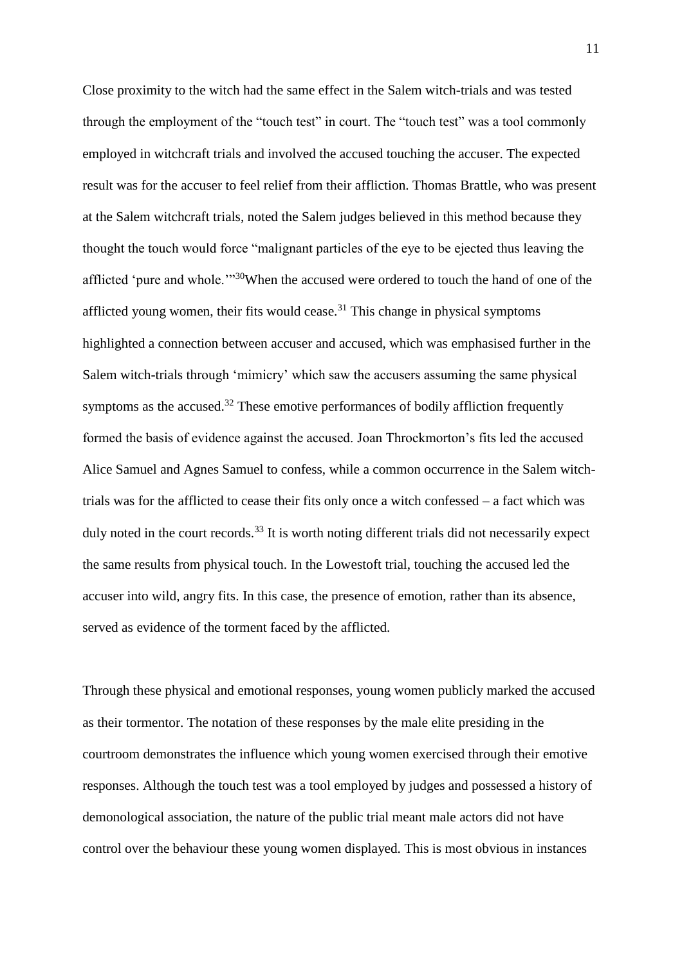Close proximity to the witch had the same effect in the Salem witch-trials and was tested through the employment of the "touch test" in court. The "touch test" was a tool commonly employed in witchcraft trials and involved the accused touching the accuser. The expected result was for the accuser to feel relief from their affliction. Thomas Brattle, who was present at the Salem witchcraft trials, noted the Salem judges believed in this method because they thought the touch would force "malignant particles of the eye to be ejected thus leaving the afflicted 'pure and whole.'"<sup>30</sup>When the accused were ordered to touch the hand of one of the afflicted young women, their fits would cease.<sup>31</sup> This change in physical symptoms highlighted a connection between accuser and accused, which was emphasised further in the Salem witch-trials through 'mimicry' which saw the accusers assuming the same physical symptoms as the accused. $32$  These emotive performances of bodily affliction frequently formed the basis of evidence against the accused. Joan Throckmorton's fits led the accused Alice Samuel and Agnes Samuel to confess, while a common occurrence in the Salem witchtrials was for the afflicted to cease their fits only once a witch confessed – a fact which was duly noted in the court records.<sup>33</sup> It is worth noting different trials did not necessarily expect the same results from physical touch. In the Lowestoft trial, touching the accused led the accuser into wild, angry fits. In this case, the presence of emotion, rather than its absence, served as evidence of the torment faced by the afflicted.

Through these physical and emotional responses, young women publicly marked the accused as their tormentor. The notation of these responses by the male elite presiding in the courtroom demonstrates the influence which young women exercised through their emotive responses. Although the touch test was a tool employed by judges and possessed a history of demonological association, the nature of the public trial meant male actors did not have control over the behaviour these young women displayed. This is most obvious in instances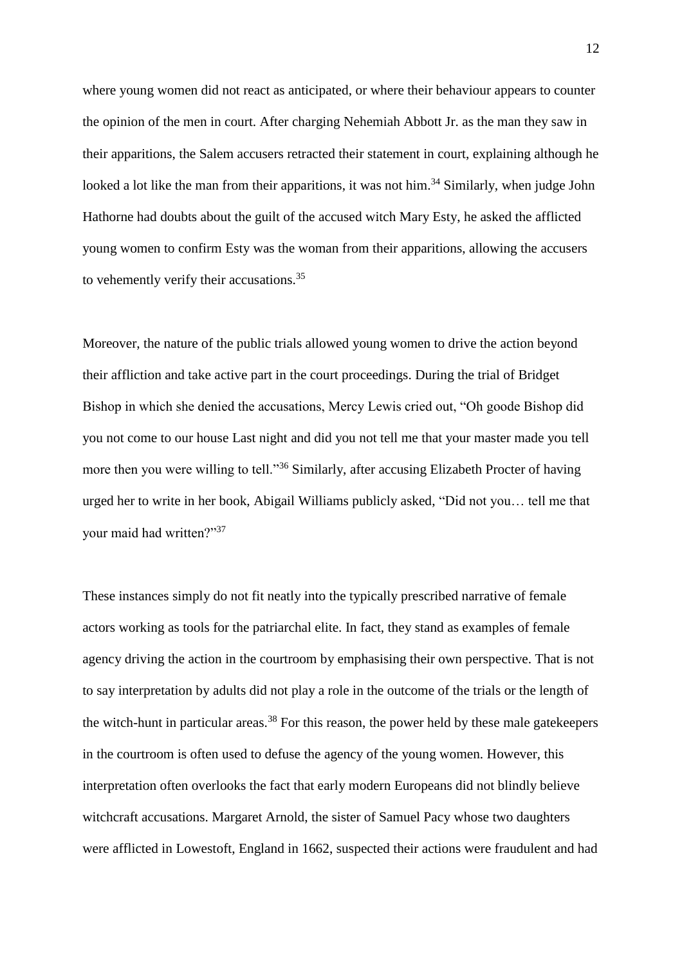where young women did not react as anticipated, or where their behaviour appears to counter the opinion of the men in court. After charging Nehemiah Abbott Jr. as the man they saw in their apparitions, the Salem accusers retracted their statement in court, explaining although he looked a lot like the man from their apparitions, it was not him.<sup>34</sup> Similarly, when judge John Hathorne had doubts about the guilt of the accused witch Mary Esty, he asked the afflicted young women to confirm Esty was the woman from their apparitions, allowing the accusers to vehemently verify their accusations.<sup>35</sup>

Moreover, the nature of the public trials allowed young women to drive the action beyond their affliction and take active part in the court proceedings. During the trial of Bridget Bishop in which she denied the accusations, Mercy Lewis cried out, "Oh goode Bishop did you not come to our house Last night and did you not tell me that your master made you tell more then you were willing to tell."<sup>36</sup> Similarly, after accusing Elizabeth Procter of having urged her to write in her book, Abigail Williams publicly asked, "Did not you… tell me that your maid had written?"<sup>37</sup>

These instances simply do not fit neatly into the typically prescribed narrative of female actors working as tools for the patriarchal elite. In fact, they stand as examples of female agency driving the action in the courtroom by emphasising their own perspective. That is not to say interpretation by adults did not play a role in the outcome of the trials or the length of the witch-hunt in particular areas.<sup>38</sup> For this reason, the power held by these male gatekeepers in the courtroom is often used to defuse the agency of the young women. However, this interpretation often overlooks the fact that early modern Europeans did not blindly believe witchcraft accusations. Margaret Arnold, the sister of Samuel Pacy whose two daughters were afflicted in Lowestoft, England in 1662, suspected their actions were fraudulent and had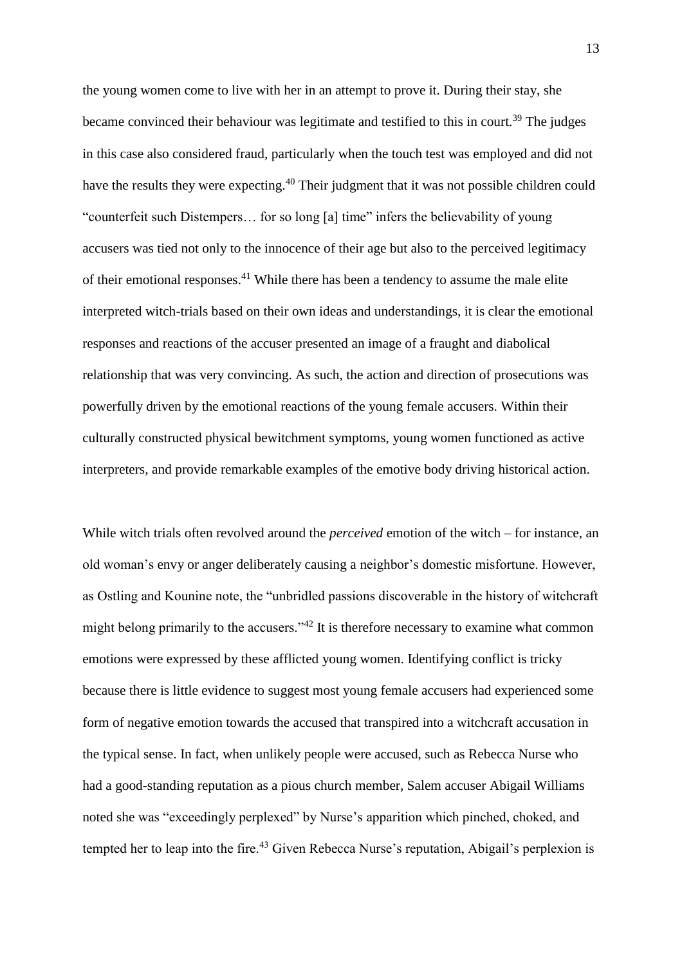the young women come to live with her in an attempt to prove it. During their stay, she became convinced their behaviour was legitimate and testified to this in court.<sup>39</sup> The judges in this case also considered fraud, particularly when the touch test was employed and did not have the results they were expecting.<sup>40</sup> Their judgment that it was not possible children could "counterfeit such Distempers… for so long [a] time" infers the believability of young accusers was tied not only to the innocence of their age but also to the perceived legitimacy of their emotional responses.<sup>41</sup> While there has been a tendency to assume the male elite interpreted witch-trials based on their own ideas and understandings, it is clear the emotional responses and reactions of the accuser presented an image of a fraught and diabolical relationship that was very convincing. As such, the action and direction of prosecutions was powerfully driven by the emotional reactions of the young female accusers. Within their culturally constructed physical bewitchment symptoms, young women functioned as active interpreters, and provide remarkable examples of the emotive body driving historical action.

While witch trials often revolved around the *perceived* emotion of the witch – for instance, an old woman's envy or anger deliberately causing a neighbor's domestic misfortune. However, as Ostling and Kounine note, the "unbridled passions discoverable in the history of witchcraft might belong primarily to the accusers."<sup>42</sup> It is therefore necessary to examine what common emotions were expressed by these afflicted young women. Identifying conflict is tricky because there is little evidence to suggest most young female accusers had experienced some form of negative emotion towards the accused that transpired into a witchcraft accusation in the typical sense. In fact, when unlikely people were accused, such as Rebecca Nurse who had a good-standing reputation as a pious church member, Salem accuser Abigail Williams noted she was "exceedingly perplexed" by Nurse's apparition which pinched, choked, and tempted her to leap into the fire.<sup>43</sup> Given Rebecca Nurse's reputation, Abigail's perplexion is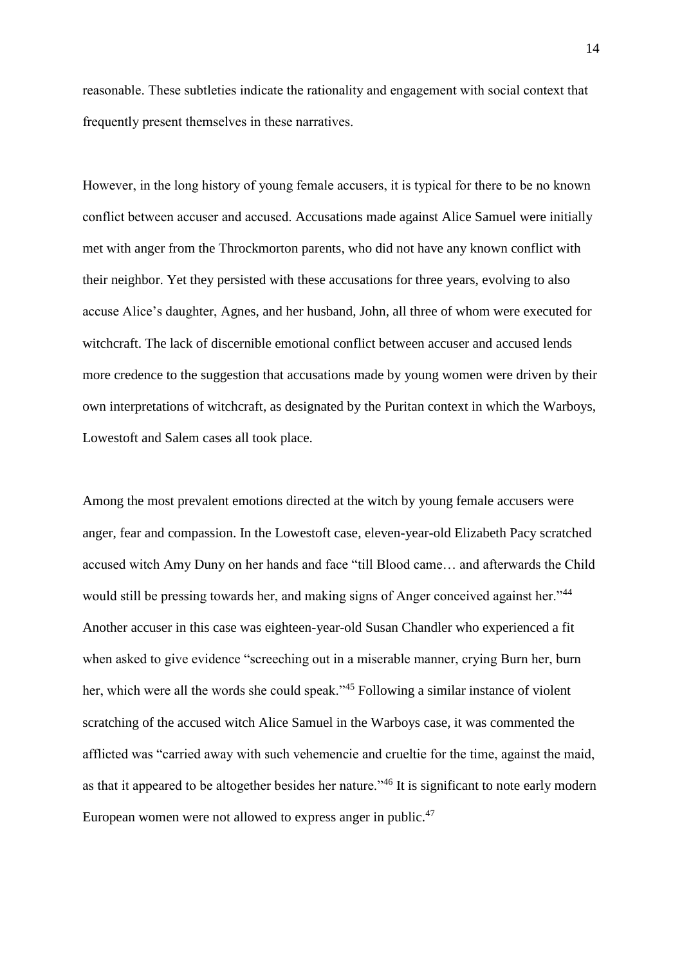reasonable. These subtleties indicate the rationality and engagement with social context that frequently present themselves in these narratives.

However, in the long history of young female accusers, it is typical for there to be no known conflict between accuser and accused. Accusations made against Alice Samuel were initially met with anger from the Throckmorton parents, who did not have any known conflict with their neighbor. Yet they persisted with these accusations for three years, evolving to also accuse Alice's daughter, Agnes, and her husband, John, all three of whom were executed for witchcraft. The lack of discernible emotional conflict between accuser and accused lends more credence to the suggestion that accusations made by young women were driven by their own interpretations of witchcraft, as designated by the Puritan context in which the Warboys, Lowestoft and Salem cases all took place.

Among the most prevalent emotions directed at the witch by young female accusers were anger, fear and compassion. In the Lowestoft case, eleven-year-old Elizabeth Pacy scratched accused witch Amy Duny on her hands and face "till Blood came… and afterwards the Child would still be pressing towards her, and making signs of Anger conceived against her."<sup>44</sup> Another accuser in this case was eighteen-year-old Susan Chandler who experienced a fit when asked to give evidence "screeching out in a miserable manner, crying Burn her, burn her, which were all the words she could speak."<sup>45</sup> Following a similar instance of violent scratching of the accused witch Alice Samuel in the Warboys case, it was commented the afflicted was "carried away with such vehemencie and crueltie for the time, against the maid, as that it appeared to be altogether besides her nature."<sup>46</sup> It is significant to note early modern European women were not allowed to express anger in public.<sup>47</sup>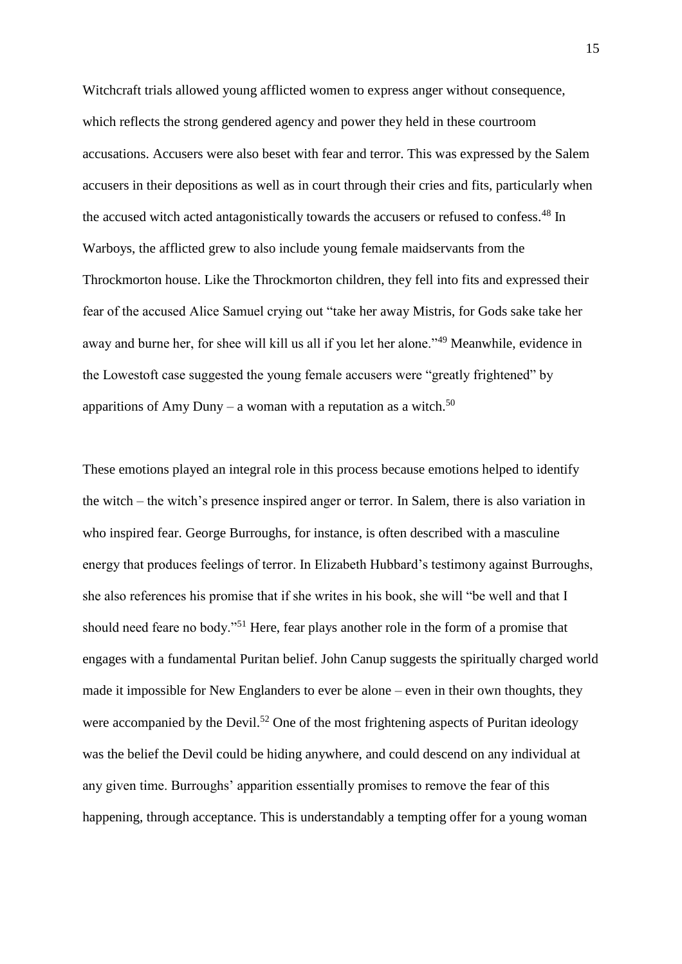Witchcraft trials allowed young afflicted women to express anger without consequence, which reflects the strong gendered agency and power they held in these courtroom accusations. Accusers were also beset with fear and terror. This was expressed by the Salem accusers in their depositions as well as in court through their cries and fits, particularly when the accused witch acted antagonistically towards the accusers or refused to confess.<sup>48</sup> In Warboys, the afflicted grew to also include young female maidservants from the Throckmorton house. Like the Throckmorton children, they fell into fits and expressed their fear of the accused Alice Samuel crying out "take her away Mistris, for Gods sake take her away and burne her, for shee will kill us all if you let her alone."<sup>49</sup> Meanwhile, evidence in the Lowestoft case suggested the young female accusers were "greatly frightened" by apparitions of Amy Duny – a woman with a reputation as a witch. $50$ 

These emotions played an integral role in this process because emotions helped to identify the witch – the witch's presence inspired anger or terror. In Salem, there is also variation in who inspired fear. George Burroughs, for instance, is often described with a masculine energy that produces feelings of terror. In Elizabeth Hubbard's testimony against Burroughs, she also references his promise that if she writes in his book, she will "be well and that I should need feare no body."<sup>51</sup> Here, fear plays another role in the form of a promise that engages with a fundamental Puritan belief. John Canup suggests the spiritually charged world made it impossible for New Englanders to ever be alone – even in their own thoughts, they were accompanied by the Devil.<sup>52</sup> One of the most frightening aspects of Puritan ideology was the belief the Devil could be hiding anywhere, and could descend on any individual at any given time. Burroughs' apparition essentially promises to remove the fear of this happening, through acceptance. This is understandably a tempting offer for a young woman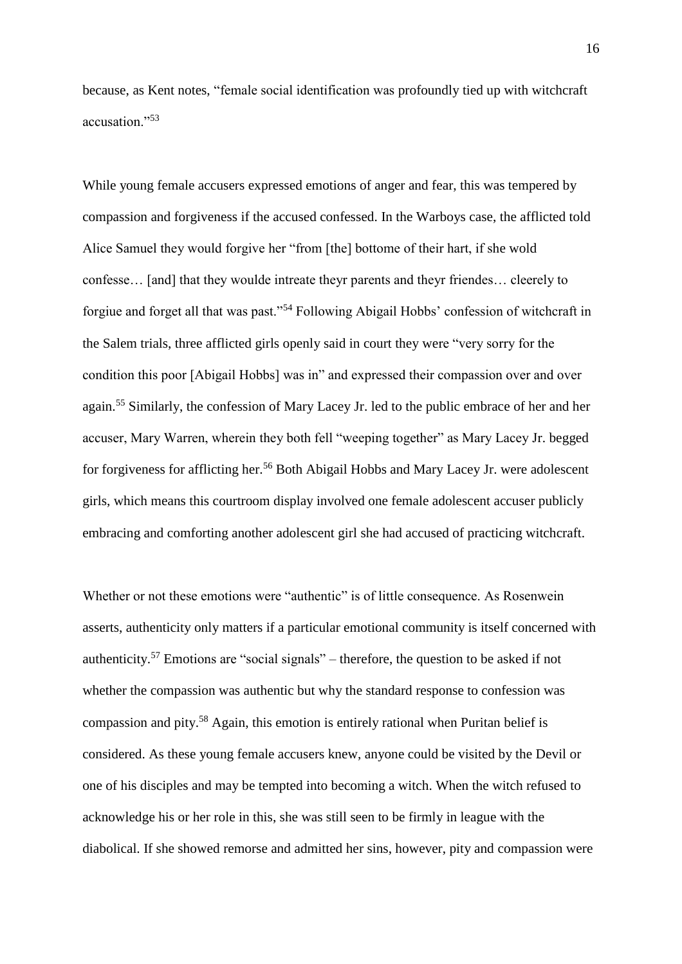because, as Kent notes, "female social identification was profoundly tied up with witchcraft accusation."<sup>53</sup>

While young female accusers expressed emotions of anger and fear, this was tempered by compassion and forgiveness if the accused confessed. In the Warboys case, the afflicted told Alice Samuel they would forgive her "from [the] bottome of their hart, if she wold confesse… [and] that they woulde intreate theyr parents and theyr friendes… cleerely to forgiue and forget all that was past."<sup>54</sup> Following Abigail Hobbs' confession of witchcraft in the Salem trials, three afflicted girls openly said in court they were "very sorry for the condition this poor [Abigail Hobbs] was in" and expressed their compassion over and over again.<sup>55</sup> Similarly, the confession of Mary Lacey Jr. led to the public embrace of her and her accuser, Mary Warren, wherein they both fell "weeping together" as Mary Lacey Jr. begged for forgiveness for afflicting her.<sup>56</sup> Both Abigail Hobbs and Mary Lacey Jr. were adolescent girls, which means this courtroom display involved one female adolescent accuser publicly embracing and comforting another adolescent girl she had accused of practicing witchcraft.

Whether or not these emotions were "authentic" is of little consequence. As Rosenwein asserts, authenticity only matters if a particular emotional community is itself concerned with authenticity.<sup>57</sup> Emotions are "social signals" – therefore, the question to be asked if not whether the compassion was authentic but why the standard response to confession was compassion and pity.<sup>58</sup> Again, this emotion is entirely rational when Puritan belief is considered. As these young female accusers knew, anyone could be visited by the Devil or one of his disciples and may be tempted into becoming a witch. When the witch refused to acknowledge his or her role in this, she was still seen to be firmly in league with the diabolical. If she showed remorse and admitted her sins, however, pity and compassion were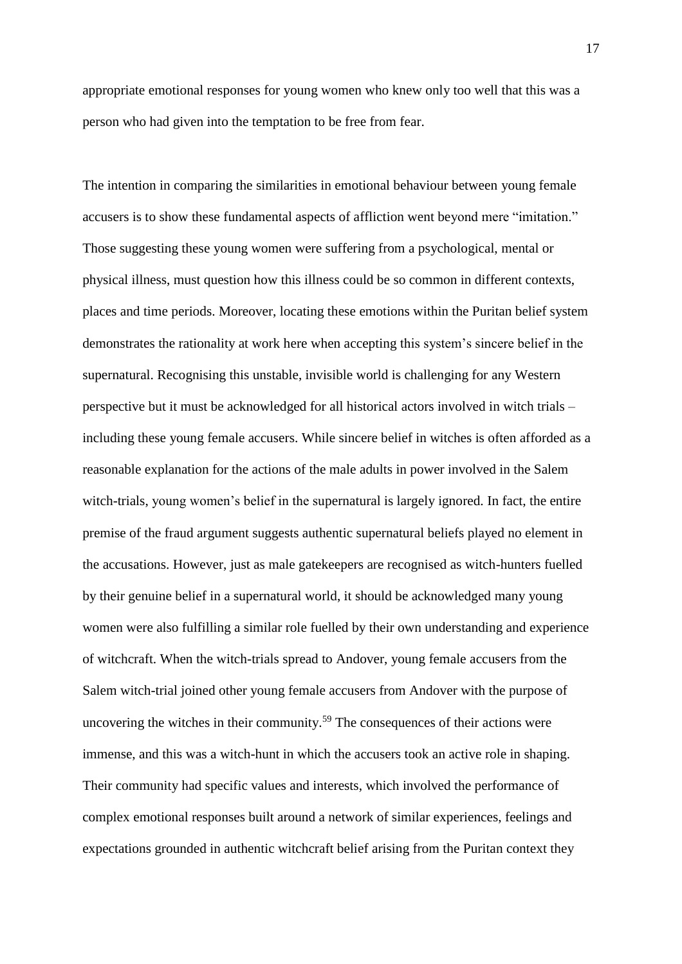appropriate emotional responses for young women who knew only too well that this was a person who had given into the temptation to be free from fear.

The intention in comparing the similarities in emotional behaviour between young female accusers is to show these fundamental aspects of affliction went beyond mere "imitation." Those suggesting these young women were suffering from a psychological, mental or physical illness, must question how this illness could be so common in different contexts, places and time periods. Moreover, locating these emotions within the Puritan belief system demonstrates the rationality at work here when accepting this system's sincere belief in the supernatural. Recognising this unstable, invisible world is challenging for any Western perspective but it must be acknowledged for all historical actors involved in witch trials – including these young female accusers. While sincere belief in witches is often afforded as a reasonable explanation for the actions of the male adults in power involved in the Salem witch-trials, young women's belief in the supernatural is largely ignored. In fact, the entire premise of the fraud argument suggests authentic supernatural beliefs played no element in the accusations. However, just as male gatekeepers are recognised as witch-hunters fuelled by their genuine belief in a supernatural world, it should be acknowledged many young women were also fulfilling a similar role fuelled by their own understanding and experience of witchcraft. When the witch-trials spread to Andover, young female accusers from the Salem witch-trial joined other young female accusers from Andover with the purpose of uncovering the witches in their community.<sup>59</sup> The consequences of their actions were immense, and this was a witch-hunt in which the accusers took an active role in shaping. Their community had specific values and interests, which involved the performance of complex emotional responses built around a network of similar experiences, feelings and expectations grounded in authentic witchcraft belief arising from the Puritan context they

17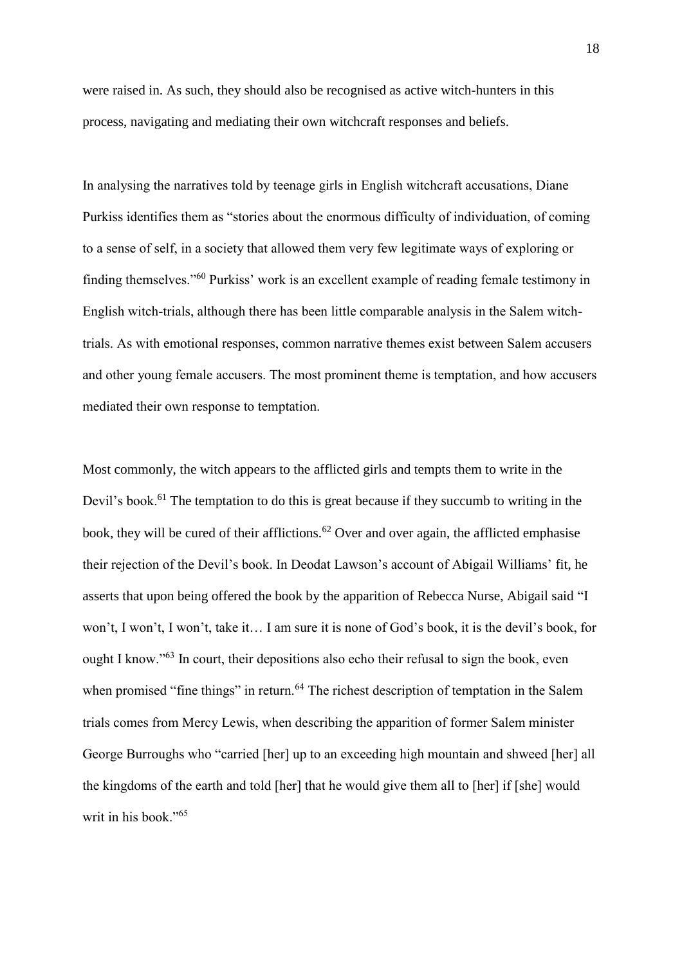were raised in. As such, they should also be recognised as active witch-hunters in this process, navigating and mediating their own witchcraft responses and beliefs.

In analysing the narratives told by teenage girls in English witchcraft accusations, Diane Purkiss identifies them as "stories about the enormous difficulty of individuation, of coming to a sense of self, in a society that allowed them very few legitimate ways of exploring or finding themselves."<sup>60</sup> Purkiss' work is an excellent example of reading female testimony in English witch-trials, although there has been little comparable analysis in the Salem witchtrials. As with emotional responses, common narrative themes exist between Salem accusers and other young female accusers. The most prominent theme is temptation, and how accusers mediated their own response to temptation.

Most commonly, the witch appears to the afflicted girls and tempts them to write in the Devil's book.<sup>61</sup> The temptation to do this is great because if they succumb to writing in the book, they will be cured of their afflictions.<sup>62</sup> Over and over again, the afflicted emphasise their rejection of the Devil's book. In Deodat Lawson's account of Abigail Williams' fit, he asserts that upon being offered the book by the apparition of Rebecca Nurse, Abigail said "I won't, I won't, I won't, take it… I am sure it is none of God's book, it is the devil's book, for ought I know."<sup>63</sup> In court, their depositions also echo their refusal to sign the book, even when promised "fine things" in return.<sup>64</sup> The richest description of temptation in the Salem trials comes from Mercy Lewis, when describing the apparition of former Salem minister George Burroughs who "carried [her] up to an exceeding high mountain and shweed [her] all the kingdoms of the earth and told [her] that he would give them all to [her] if [she] would writ in his book."<sup>65</sup>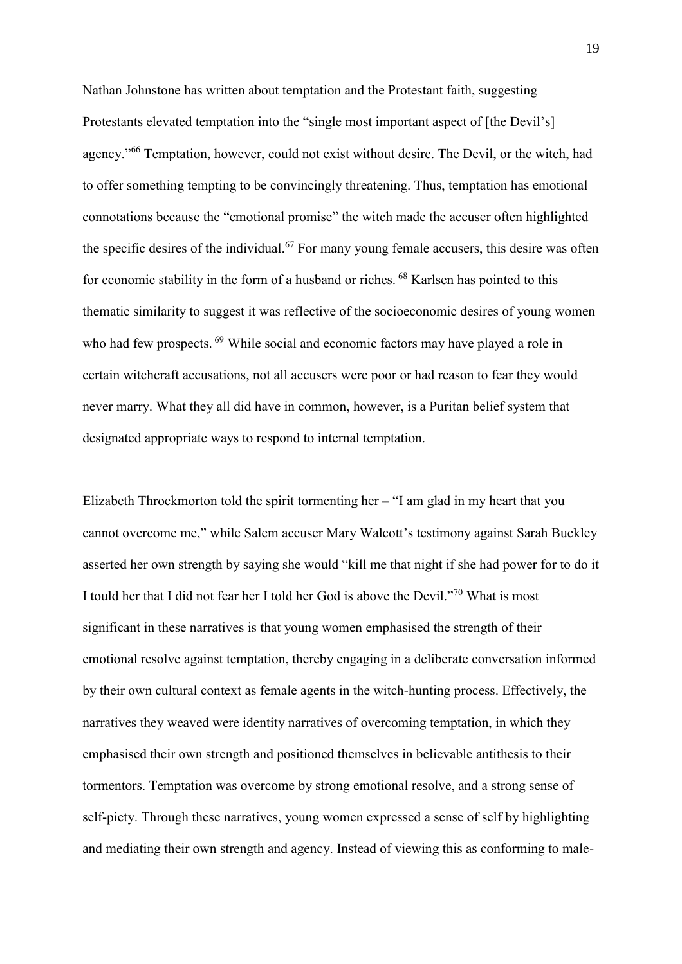Nathan Johnstone has written about temptation and the Protestant faith, suggesting Protestants elevated temptation into the "single most important aspect of [the Devil's] agency."<sup>66</sup> Temptation, however, could not exist without desire. The Devil, or the witch, had to offer something tempting to be convincingly threatening. Thus, temptation has emotional connotations because the "emotional promise" the witch made the accuser often highlighted the specific desires of the individual.<sup>67</sup> For many young female accusers, this desire was often for economic stability in the form of a husband or riches. <sup>68</sup> Karlsen has pointed to this thematic similarity to suggest it was reflective of the socioeconomic desires of young women who had few prospects. <sup>69</sup> While social and economic factors may have played a role in certain witchcraft accusations, not all accusers were poor or had reason to fear they would never marry. What they all did have in common, however, is a Puritan belief system that designated appropriate ways to respond to internal temptation.

Elizabeth Throckmorton told the spirit tormenting her  $-$  "I am glad in my heart that you cannot overcome me," while Salem accuser Mary Walcott's testimony against Sarah Buckley asserted her own strength by saying she would "kill me that night if she had power for to do it I tould her that I did not fear her I told her God is above the Devil."<sup>70</sup> What is most significant in these narratives is that young women emphasised the strength of their emotional resolve against temptation, thereby engaging in a deliberate conversation informed by their own cultural context as female agents in the witch-hunting process. Effectively, the narratives they weaved were identity narratives of overcoming temptation, in which they emphasised their own strength and positioned themselves in believable antithesis to their tormentors. Temptation was overcome by strong emotional resolve, and a strong sense of self-piety. Through these narratives, young women expressed a sense of self by highlighting and mediating their own strength and agency. Instead of viewing this as conforming to male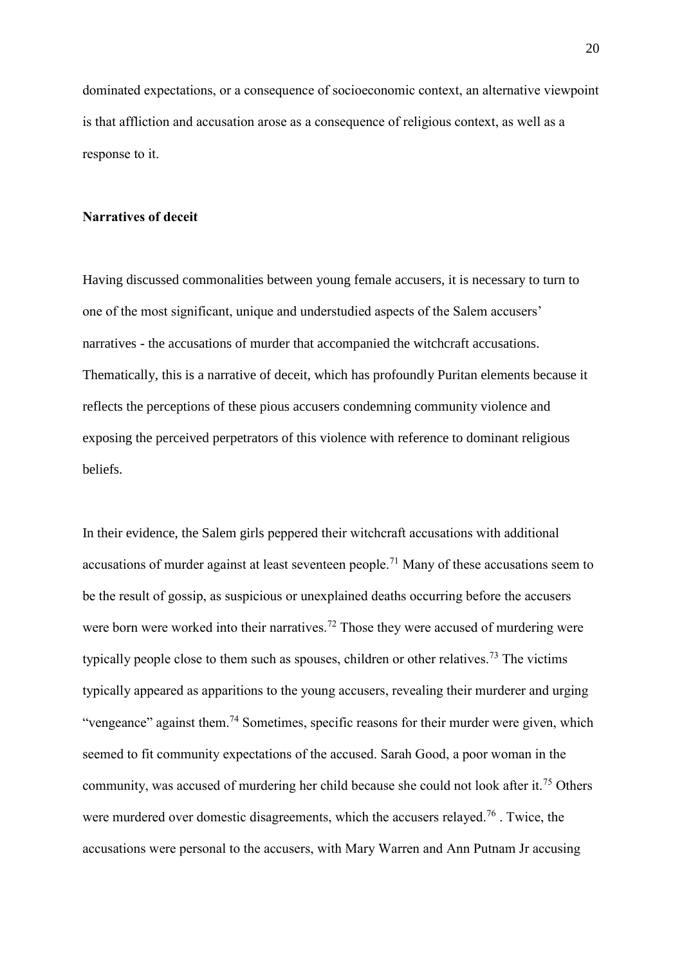dominated expectations, or a consequence of socioeconomic context, an alternative viewpoint is that affliction and accusation arose as a consequence of religious context, as well as a response to it.

#### **Narratives of deceit**

Having discussed commonalities between young female accusers, it is necessary to turn to one of the most significant, unique and understudied aspects of the Salem accusers' narratives - the accusations of murder that accompanied the witchcraft accusations. Thematically, this is a narrative of deceit, which has profoundly Puritan elements because it reflects the perceptions of these pious accusers condemning community violence and exposing the perceived perpetrators of this violence with reference to dominant religious beliefs.

In their evidence, the Salem girls peppered their witchcraft accusations with additional accusations of murder against at least seventeen people.<sup>71</sup> Many of these accusations seem to be the result of gossip, as suspicious or unexplained deaths occurring before the accusers were born were worked into their narratives.<sup>72</sup> Those they were accused of murdering were typically people close to them such as spouses, children or other relatives.<sup>73</sup> The victims typically appeared as apparitions to the young accusers, revealing their murderer and urging "vengeance" against them.<sup>74</sup> Sometimes, specific reasons for their murder were given, which seemed to fit community expectations of the accused. Sarah Good, a poor woman in the community, was accused of murdering her child because she could not look after it.<sup>75</sup> Others were murdered over domestic disagreements, which the accusers relayed.<sup>76</sup> . Twice, the accusations were personal to the accusers, with Mary Warren and Ann Putnam Jr accusing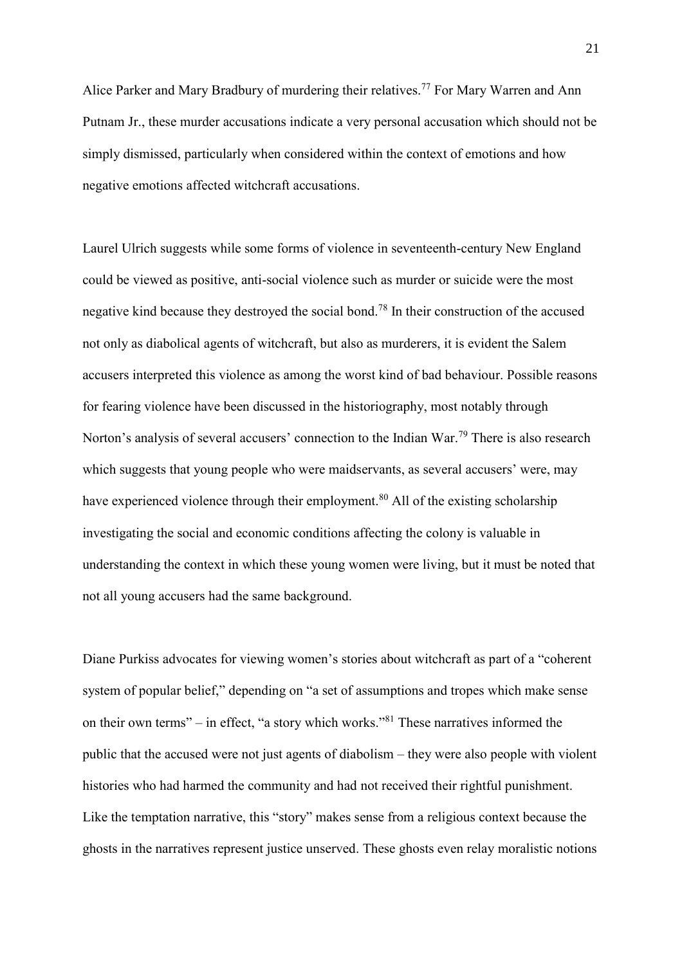Alice Parker and Mary Bradbury of murdering their relatives.<sup>77</sup> For Mary Warren and Ann Putnam Jr., these murder accusations indicate a very personal accusation which should not be simply dismissed, particularly when considered within the context of emotions and how negative emotions affected witchcraft accusations.

Laurel Ulrich suggests while some forms of violence in seventeenth-century New England could be viewed as positive, anti-social violence such as murder or suicide were the most negative kind because they destroyed the social bond.<sup>78</sup> In their construction of the accused not only as diabolical agents of witchcraft, but also as murderers, it is evident the Salem accusers interpreted this violence as among the worst kind of bad behaviour. Possible reasons for fearing violence have been discussed in the historiography, most notably through Norton's analysis of several accusers' connection to the Indian War.<sup>79</sup> There is also research which suggests that young people who were maidservants, as several accusers' were, may have experienced violence through their employment.<sup>80</sup> All of the existing scholarship investigating the social and economic conditions affecting the colony is valuable in understanding the context in which these young women were living, but it must be noted that not all young accusers had the same background.

Diane Purkiss advocates for viewing women's stories about witchcraft as part of a "coherent" system of popular belief," depending on "a set of assumptions and tropes which make sense on their own terms" – in effect, "a story which works."<sup>81</sup> These narratives informed the public that the accused were not just agents of diabolism – they were also people with violent histories who had harmed the community and had not received their rightful punishment. Like the temptation narrative, this "story" makes sense from a religious context because the ghosts in the narratives represent justice unserved. These ghosts even relay moralistic notions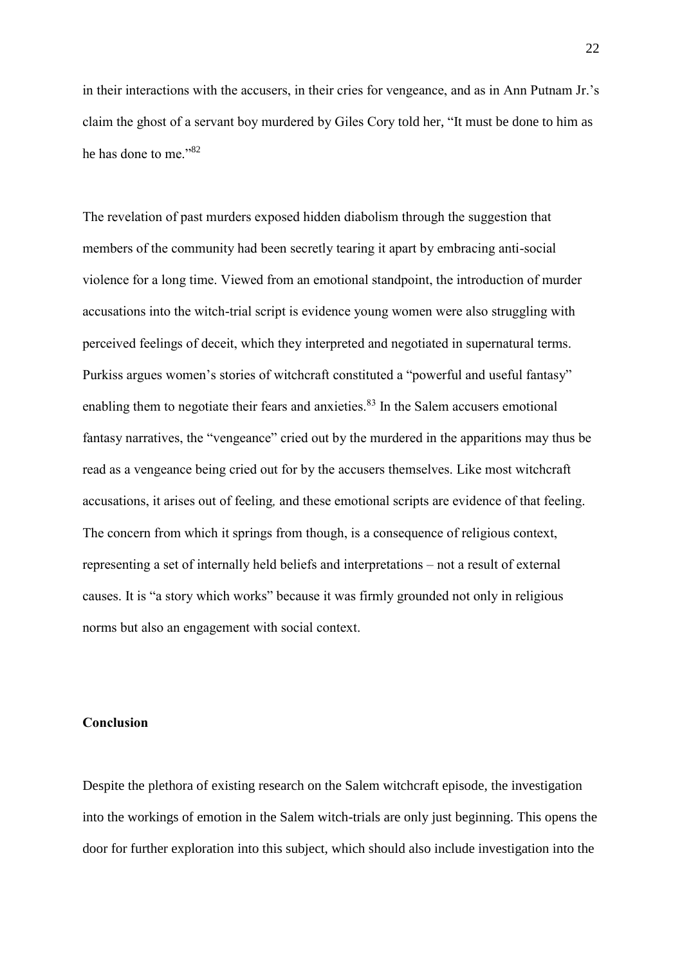in their interactions with the accusers, in their cries for vengeance, and as in Ann Putnam Jr.'s claim the ghost of a servant boy murdered by Giles Cory told her, "It must be done to him as he has done to me."82

The revelation of past murders exposed hidden diabolism through the suggestion that members of the community had been secretly tearing it apart by embracing anti-social violence for a long time. Viewed from an emotional standpoint, the introduction of murder accusations into the witch-trial script is evidence young women were also struggling with perceived feelings of deceit, which they interpreted and negotiated in supernatural terms. Purkiss argues women's stories of witchcraft constituted a "powerful and useful fantasy" enabling them to negotiate their fears and anxieties.<sup>83</sup> In the Salem accusers emotional fantasy narratives, the "vengeance" cried out by the murdered in the apparitions may thus be read as a vengeance being cried out for by the accusers themselves. Like most witchcraft accusations, it arises out of feeling*,* and these emotional scripts are evidence of that feeling. The concern from which it springs from though, is a consequence of religious context, representing a set of internally held beliefs and interpretations – not a result of external causes. It is "a story which works" because it was firmly grounded not only in religious norms but also an engagement with social context.

# **Conclusion**

Despite the plethora of existing research on the Salem witchcraft episode, the investigation into the workings of emotion in the Salem witch-trials are only just beginning. This opens the door for further exploration into this subject, which should also include investigation into the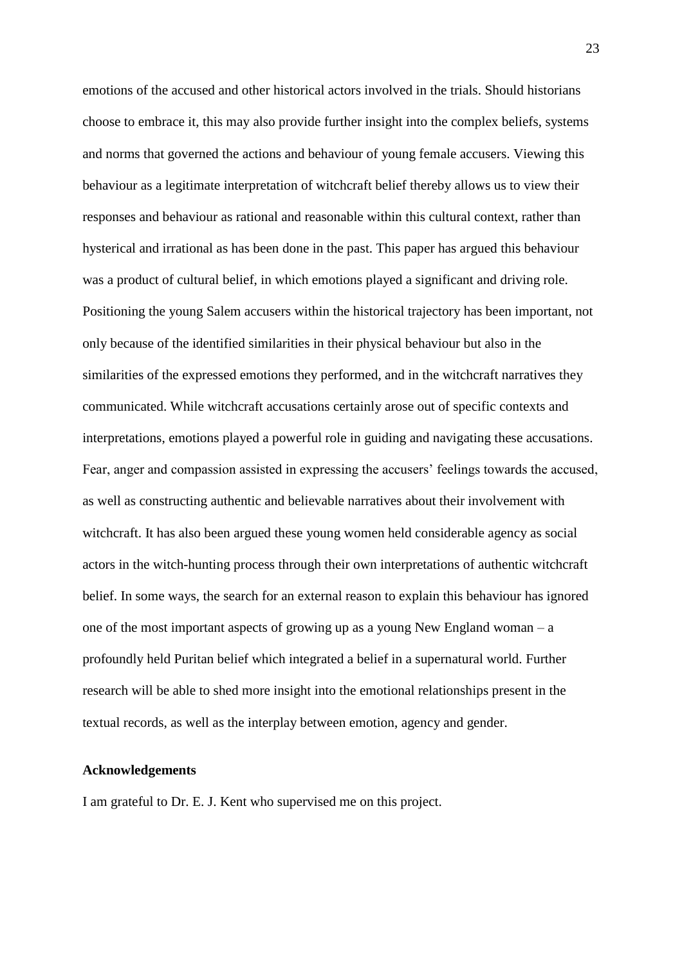emotions of the accused and other historical actors involved in the trials. Should historians choose to embrace it, this may also provide further insight into the complex beliefs, systems and norms that governed the actions and behaviour of young female accusers. Viewing this behaviour as a legitimate interpretation of witchcraft belief thereby allows us to view their responses and behaviour as rational and reasonable within this cultural context, rather than hysterical and irrational as has been done in the past. This paper has argued this behaviour was a product of cultural belief, in which emotions played a significant and driving role. Positioning the young Salem accusers within the historical trajectory has been important, not only because of the identified similarities in their physical behaviour but also in the similarities of the expressed emotions they performed, and in the witchcraft narratives they communicated. While witchcraft accusations certainly arose out of specific contexts and interpretations, emotions played a powerful role in guiding and navigating these accusations. Fear, anger and compassion assisted in expressing the accusers' feelings towards the accused, as well as constructing authentic and believable narratives about their involvement with witchcraft. It has also been argued these young women held considerable agency as social actors in the witch-hunting process through their own interpretations of authentic witchcraft belief. In some ways, the search for an external reason to explain this behaviour has ignored one of the most important aspects of growing up as a young New England woman – a profoundly held Puritan belief which integrated a belief in a supernatural world. Further research will be able to shed more insight into the emotional relationships present in the textual records, as well as the interplay between emotion, agency and gender.

#### **Acknowledgements**

I am grateful to Dr. E. J. Kent who supervised me on this project.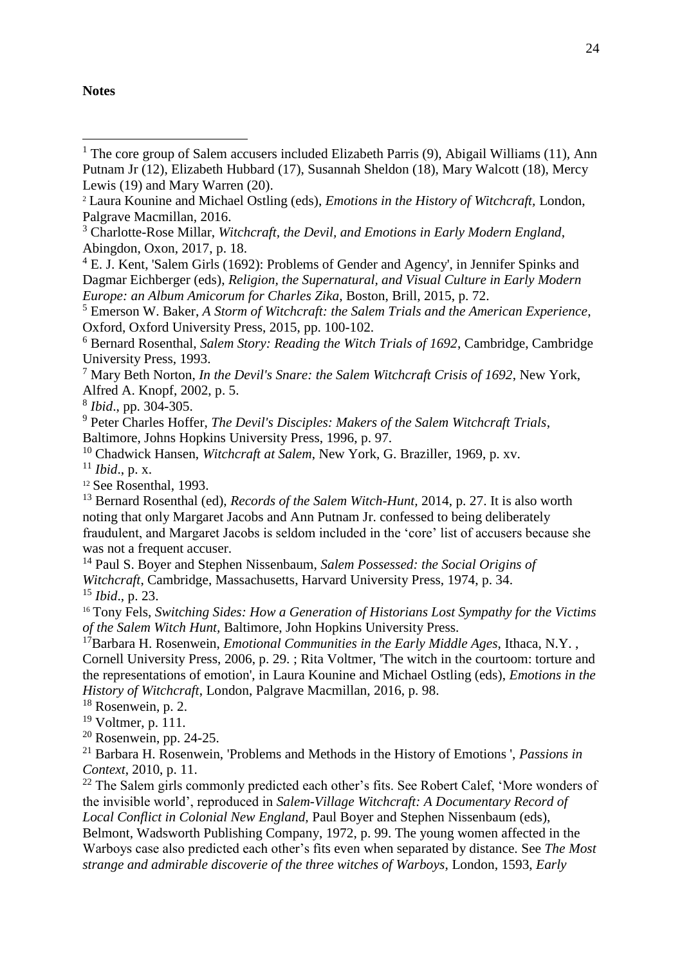### **Notes**

 $\overline{a}$ 

8 *Ibid*., pp. 304-305.

<sup>9</sup> Peter Charles Hoffer, *The Devil's Disciples: Makers of the Salem Witchcraft Trials*, Baltimore, Johns Hopkins University Press, 1996, p. 97.

<sup>10</sup> Chadwick Hansen, *Witchcraft at Salem*, New York, G. Braziller, 1969, p. xv.

 $11$  *Ibid.*, p. x.

<sup>12</sup> See Rosenthal, 1993.

<sup>13</sup> Bernard Rosenthal (ed), *Records of the Salem Witch-Hunt,* 2014, p. 27. It is also worth noting that only Margaret Jacobs and Ann Putnam Jr. confessed to being deliberately fraudulent, and Margaret Jacobs is seldom included in the 'core' list of accusers because she was not a frequent accuser.

<sup>14</sup> Paul S. Boyer and Stephen Nissenbaum, *Salem Possessed: the Social Origins of Witchcraft*, Cambridge, Massachusetts, Harvard University Press, 1974, p. 34. <sup>15</sup> *Ibid*., p. 23.

<sup>16</sup> Tony Fels, *Switching Sides: How a Generation of Historians Lost Sympathy for the Victims of the Salem Witch Hunt,* Baltimore, John Hopkins University Press.

<sup>17</sup>Barbara H. Rosenwein, *Emotional Communities in the Early Middle Ages*, Ithaca, N.Y. , Cornell University Press, 2006, p. 29. ; Rita Voltmer, 'The witch in the courtoom: torture and the representations of emotion', in Laura Kounine and Michael Ostling (eds), *Emotions in the History of Witchcraft*, London, Palgrave Macmillan, 2016, p. 98.

<sup>18</sup> Rosenwein, p. 2.

 $19$  Voltmer, p. 111.

 $20$  Rosenwein, pp. 24-25.

<sup>21</sup> Barbara H. Rosenwein, 'Problems and Methods in the History of Emotions ', *Passions in Context*, 2010, p. 11.

<sup>22</sup> The Salem girls commonly predicted each other's fits. See Robert Calef, 'More wonders of the invisible world', reproduced in *Salem-Village Witchcraft: A Documentary Record of Local Conflict in Colonial New England,* Paul Boyer and Stephen Nissenbaum (eds), Belmont, Wadsworth Publishing Company, 1972, p. 99. The young women affected in the Warboys case also predicted each other's fits even when separated by distance. See *The Most strange and admirable discoverie of the three witches of Warboys*, London, 1593, *Early* 

<sup>&</sup>lt;sup>1</sup> The core group of Salem accusers included Elizabeth Parris  $(9)$ , Abigail Williams  $(11)$ , Ann Putnam Jr (12), Elizabeth Hubbard (17), Susannah Sheldon (18), Mary Walcott (18), Mercy Lewis (19) and Mary Warren (20).

<sup>2</sup> Laura Kounine and Michael Ostling (eds), *Emotions in the History of Witchcraft,* London, Palgrave Macmillan, 2016.

<sup>3</sup> Charlotte-Rose Millar, *Witchcraft, the Devil, and Emotions in Early Modern England*, Abingdon, Oxon, 2017, p. 18.

<sup>4</sup> E. J. Kent, 'Salem Girls (1692): Problems of Gender and Agency', in Jennifer Spinks and Dagmar Eichberger (eds), *Religion, the Supernatural, and Visual Culture in Early Modern Europe: an Album Amicorum for Charles Zika*, Boston, Brill, 2015, p. 72.

<sup>5</sup> Emerson W. Baker, *A Storm of Witchcraft: the Salem Trials and the American Experience*, Oxford, Oxford University Press, 2015, pp. 100-102.

<sup>6</sup> Bernard Rosenthal, *Salem Story: Reading the Witch Trials of 1692*, Cambridge, Cambridge University Press, 1993.

<sup>7</sup> Mary Beth Norton, *In the Devil's Snare: the Salem Witchcraft Crisis of 1692*, New York, Alfred A. Knopf, 2002, p. 5.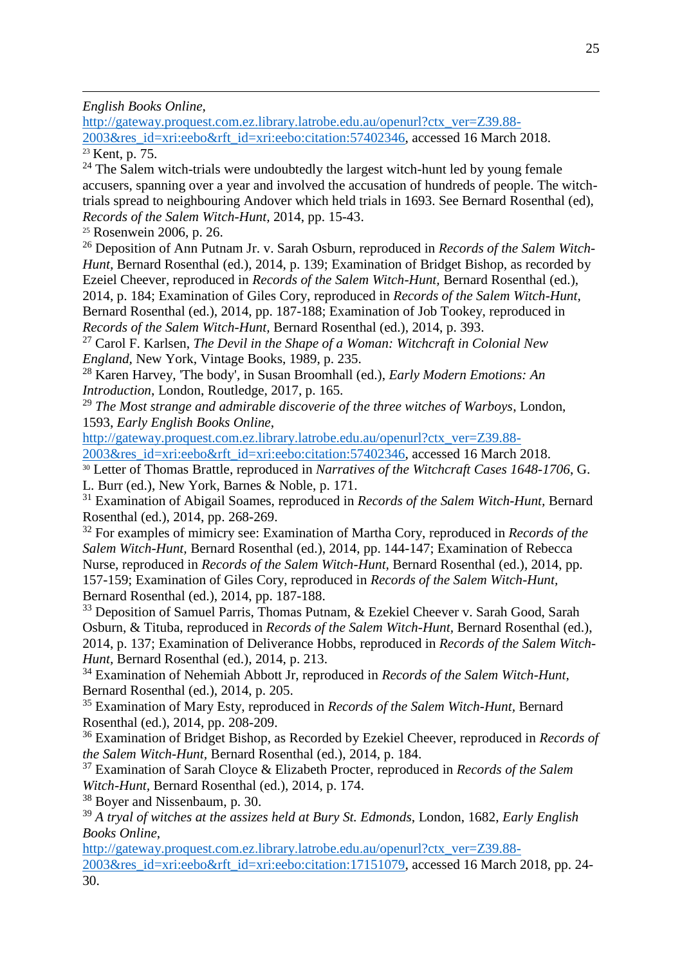*English Books Online*,

 $\overline{a}$ 

[http://gateway.proquest.com.ez.library.latrobe.edu.au/openurl?ctx\\_ver=Z39.88-](http://gateway.proquest.com.ez.library.latrobe.edu.au/openurl?ctx_ver=Z39.88-2003&res_id=xri:eebo&rft_id=xri:eebo:citation:57402346)

[2003&res\\_id=xri:eebo&rft\\_id=xri:eebo:citation:57402346,](http://gateway.proquest.com.ez.library.latrobe.edu.au/openurl?ctx_ver=Z39.88-2003&res_id=xri:eebo&rft_id=xri:eebo:citation:57402346) accessed 16 March 2018. <sup>23</sup> Kent, p. 75.

 $24$  The Salem witch-trials were undoubtedly the largest witch-hunt led by young female accusers, spanning over a year and involved the accusation of hundreds of people. The witchtrials spread to neighbouring Andover which held trials in 1693. See Bernard Rosenthal (ed), *Records of the Salem Witch-Hunt,* 2014, pp. 15-43.

<sup>25</sup> Rosenwein 2006, p. 26.

<sup>26</sup> Deposition of Ann Putnam Jr. v. Sarah Osburn, reproduced in *Records of the Salem Witch-Hunt,* Bernard Rosenthal (ed.), 2014, p. 139; Examination of Bridget Bishop, as recorded by Ezeiel Cheever, reproduced in *Records of the Salem Witch-Hunt,* Bernard Rosenthal (ed.), 2014, p. 184; Examination of Giles Cory, reproduced in *Records of the Salem Witch-Hunt,* Bernard Rosenthal (ed.), 2014, pp. 187-188; Examination of Job Tookey, reproduced in *Records of the Salem Witch-Hunt,* Bernard Rosenthal (ed.), 2014, p. 393.

<sup>27</sup> Carol F. Karlsen, *The Devil in the Shape of a Woman: Witchcraft in Colonial New England,* New York, Vintage Books, 1989, p. 235.

<sup>28</sup> Karen Harvey, 'The body', in Susan Broomhall (ed.), *Early Modern Emotions: An Introduction*, London, Routledge, 2017, p. 165.

<sup>29</sup> *The Most strange and admirable discoverie of the three witches of Warboys*, London, 1593, *Early English Books Online*,

[http://gateway.proquest.com.ez.library.latrobe.edu.au/openurl?ctx\\_ver=Z39.88-](http://gateway.proquest.com.ez.library.latrobe.edu.au/openurl?ctx_ver=Z39.88-2003&res_id=xri:eebo&rft_id=xri:eebo:citation:57402346) [2003&res\\_id=xri:eebo&rft\\_id=xri:eebo:citation:57402346,](http://gateway.proquest.com.ez.library.latrobe.edu.au/openurl?ctx_ver=Z39.88-2003&res_id=xri:eebo&rft_id=xri:eebo:citation:57402346) accessed 16 March 2018.

<sup>30</sup> Letter of Thomas Brattle, reproduced in *Narratives of the Witchcraft Cases 1648-1706*, G. L. Burr (ed.), New York, Barnes & Noble, p. 171.

<sup>31</sup> Examination of Abigail Soames, reproduced in *Records of the Salem Witch-Hunt,* Bernard Rosenthal (ed.), 2014, pp. 268-269.

<sup>32</sup> For examples of mimicry see: Examination of Martha Cory, reproduced in *Records of the Salem Witch-Hunt,* Bernard Rosenthal (ed.), 2014, pp. 144-147; Examination of Rebecca Nurse, reproduced in *Records of the Salem Witch-Hunt,* Bernard Rosenthal (ed.), 2014, pp. 157-159; Examination of Giles Cory, reproduced in *Records of the Salem Witch-Hunt,* Bernard Rosenthal (ed.), 2014, pp. 187-188.

<sup>33</sup> Deposition of Samuel Parris, Thomas Putnam, & Ezekiel Cheever v. Sarah Good, Sarah Osburn, & Tituba, reproduced in *Records of the Salem Witch-Hunt,* Bernard Rosenthal (ed.), 2014, p. 137; Examination of Deliverance Hobbs, reproduced in *Records of the Salem Witch-Hunt,* Bernard Rosenthal (ed.), 2014, p. 213.

<sup>34</sup> Examination of Nehemiah Abbott Jr, reproduced in *Records of the Salem Witch-Hunt,* Bernard Rosenthal (ed.), 2014, p. 205.

<sup>35</sup> Examination of Mary Esty, reproduced in *Records of the Salem Witch-Hunt,* Bernard Rosenthal (ed.), 2014, pp. 208-209.

<sup>36</sup> Examination of Bridget Bishop, as Recorded by Ezekiel Cheever, reproduced in *Records of the Salem Witch-Hunt,* Bernard Rosenthal (ed.), 2014, p. 184.

<sup>37</sup> Examination of Sarah Cloyce & Elizabeth Procter, reproduced in *Records of the Salem Witch-Hunt,* Bernard Rosenthal (ed.), 2014, p. 174.

<sup>38</sup> Boyer and Nissenbaum, p. 30.

<sup>39</sup> *A tryal of witches at the assizes held at Bury St. Edmonds*, London, 1682, *Early English Books Online*,

[http://gateway.proquest.com.ez.library.latrobe.edu.au/openurl?ctx\\_ver=Z39.88-](http://gateway.proquest.com.ez.library.latrobe.edu.au/openurl?ctx_ver=Z39.88-2003&res_id=xri:eebo&rft_id=xri:eebo:citation:17151079)

[2003&res\\_id=xri:eebo&rft\\_id=xri:eebo:citation:17151079,](http://gateway.proquest.com.ez.library.latrobe.edu.au/openurl?ctx_ver=Z39.88-2003&res_id=xri:eebo&rft_id=xri:eebo:citation:17151079) accessed 16 March 2018, pp. 24- 30.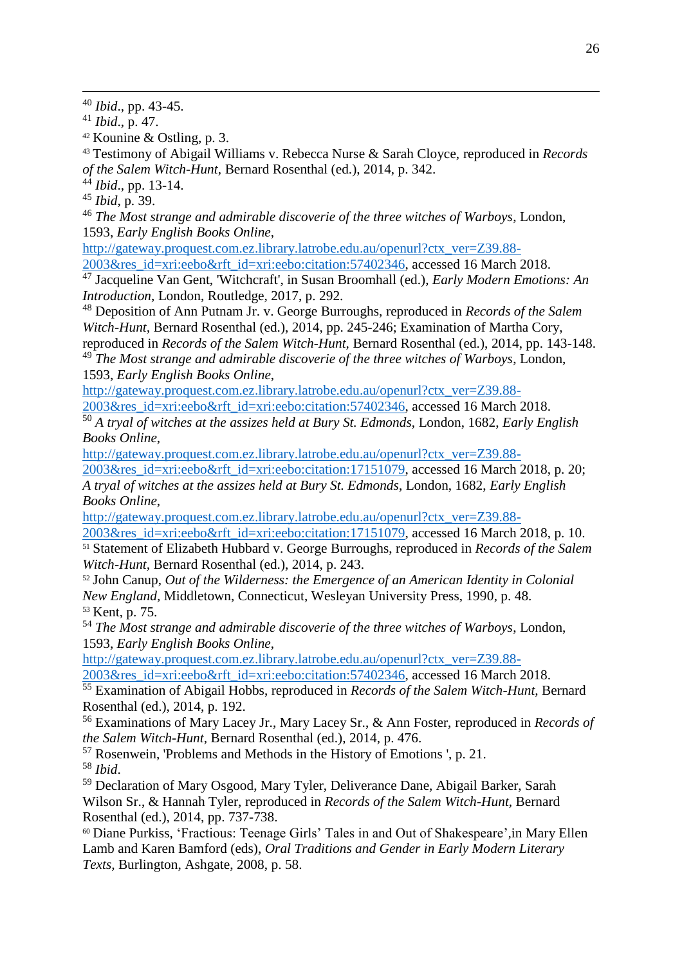$\overline{a}$ 

<sup>43</sup> Testimony of Abigail Williams v. Rebecca Nurse & Sarah Cloyce, reproduced in *Records of the Salem Witch-Hunt,* Bernard Rosenthal (ed.), 2014, p. 342.

<sup>44</sup> *Ibid*., pp. 13-14.

<sup>45</sup> *Ibid*, p. 39.

<sup>46</sup> *The Most strange and admirable discoverie of the three witches of Warboys*, London, 1593, *Early English Books Online*,

[http://gateway.proquest.com.ez.library.latrobe.edu.au/openurl?ctx\\_ver=Z39.88-](http://gateway.proquest.com.ez.library.latrobe.edu.au/openurl?ctx_ver=Z39.88-2003&res_id=xri:eebo&rft_id=xri:eebo:citation:57402346) [2003&res\\_id=xri:eebo&rft\\_id=xri:eebo:citation:57402346,](http://gateway.proquest.com.ez.library.latrobe.edu.au/openurl?ctx_ver=Z39.88-2003&res_id=xri:eebo&rft_id=xri:eebo:citation:57402346) accessed 16 March 2018.

<sup>47</sup> Jacqueline Van Gent, 'Witchcraft', in Susan Broomhall (ed.), *Early Modern Emotions: An Introduction*, London, Routledge, 2017, p. 292.

<sup>48</sup> Deposition of Ann Putnam Jr. v. George Burroughs, reproduced in *Records of the Salem Witch-Hunt,* Bernard Rosenthal (ed.), 2014, pp. 245-246; Examination of Martha Cory, reproduced in *Records of the Salem Witch-Hunt,* Bernard Rosenthal (ed.), 2014, pp. 143-148.

<sup>49</sup> *The Most strange and admirable discoverie of the three witches of Warboys*, London, 1593, *Early English Books Online*,

[http://gateway.proquest.com.ez.library.latrobe.edu.au/openurl?ctx\\_ver=Z39.88-](http://gateway.proquest.com.ez.library.latrobe.edu.au/openurl?ctx_ver=Z39.88-2003&res_id=xri:eebo&rft_id=xri:eebo:citation:57402346)

[2003&res\\_id=xri:eebo&rft\\_id=xri:eebo:citation:57402346,](http://gateway.proquest.com.ez.library.latrobe.edu.au/openurl?ctx_ver=Z39.88-2003&res_id=xri:eebo&rft_id=xri:eebo:citation:57402346) accessed 16 March 2018.

<sup>50</sup> *A tryal of witches at the assizes held at Bury St. Edmonds*, London, 1682, *Early English Books Online*,

[http://gateway.proquest.com.ez.library.latrobe.edu.au/openurl?ctx\\_ver=Z39.88-](http://gateway.proquest.com.ez.library.latrobe.edu.au/openurl?ctx_ver=Z39.88-2003&res_id=xri:eebo&rft_id=xri:eebo:citation:17151079)

[2003&res\\_id=xri:eebo&rft\\_id=xri:eebo:citation:17151079,](http://gateway.proquest.com.ez.library.latrobe.edu.au/openurl?ctx_ver=Z39.88-2003&res_id=xri:eebo&rft_id=xri:eebo:citation:17151079) accessed 16 March 2018, p. 20; *A tryal of witches at the assizes held at Bury St. Edmonds*, London, 1682, *Early English Books Online*,

[http://gateway.proquest.com.ez.library.latrobe.edu.au/openurl?ctx\\_ver=Z39.88-](http://gateway.proquest.com.ez.library.latrobe.edu.au/openurl?ctx_ver=Z39.88-2003&res_id=xri:eebo&rft_id=xri:eebo:citation:17151079) [2003&res\\_id=xri:eebo&rft\\_id=xri:eebo:citation:17151079,](http://gateway.proquest.com.ez.library.latrobe.edu.au/openurl?ctx_ver=Z39.88-2003&res_id=xri:eebo&rft_id=xri:eebo:citation:17151079) accessed 16 March 2018, p. 10. <sup>51</sup> Statement of Elizabeth Hubbard v. George Burroughs, reproduced in *Records of the Salem* 

*Witch-Hunt,* Bernard Rosenthal (ed.), 2014, p. 243. <sup>52</sup> John Canup, *Out of the Wilderness: the Emergence of an American Identity in Colonial* 

*New England,* Middletown, Connecticut, Wesleyan University Press, 1990, p. 48. <sup>53</sup> Kent, p. 75.

<sup>54</sup> *The Most strange and admirable discoverie of the three witches of Warboys*, London, 1593, *Early English Books Online*,

[http://gateway.proquest.com.ez.library.latrobe.edu.au/openurl?ctx\\_ver=Z39.88-](http://gateway.proquest.com.ez.library.latrobe.edu.au/openurl?ctx_ver=Z39.88-2003&res_id=xri:eebo&rft_id=xri:eebo:citation:57402346)

[2003&res\\_id=xri:eebo&rft\\_id=xri:eebo:citation:57402346,](http://gateway.proquest.com.ez.library.latrobe.edu.au/openurl?ctx_ver=Z39.88-2003&res_id=xri:eebo&rft_id=xri:eebo:citation:57402346) accessed 16 March 2018.

<sup>55</sup> Examination of Abigail Hobbs, reproduced in *Records of the Salem Witch-Hunt,* Bernard Rosenthal (ed.), 2014, p. 192.

<sup>56</sup> Examinations of Mary Lacey Jr., Mary Lacey Sr., & Ann Foster, reproduced in *Records of the Salem Witch-Hunt,* Bernard Rosenthal (ed.), 2014, p. 476.

<sup>57</sup> Rosenwein, 'Problems and Methods in the History of Emotions ', p. 21. <sup>58</sup> *Ibid*.

<sup>59</sup> Declaration of Mary Osgood, Mary Tyler, Deliverance Dane, Abigail Barker, Sarah Wilson Sr., & Hannah Tyler, reproduced in *Records of the Salem Witch-Hunt,* Bernard Rosenthal (ed.), 2014, pp. 737-738.

<sup>60</sup> Diane Purkiss, 'Fractious: Teenage Girls' Tales in and Out of Shakespeare'*,*in Mary Ellen Lamb and Karen Bamford (eds), *Oral Traditions and Gender in Early Modern Literary Texts,* Burlington, Ashgate, 2008, p. 58.

<sup>40</sup> *Ibid*., pp. 43-45.

<sup>41</sup> *Ibid*., p. 47.

<sup>42</sup> Kounine & Ostling, p. 3.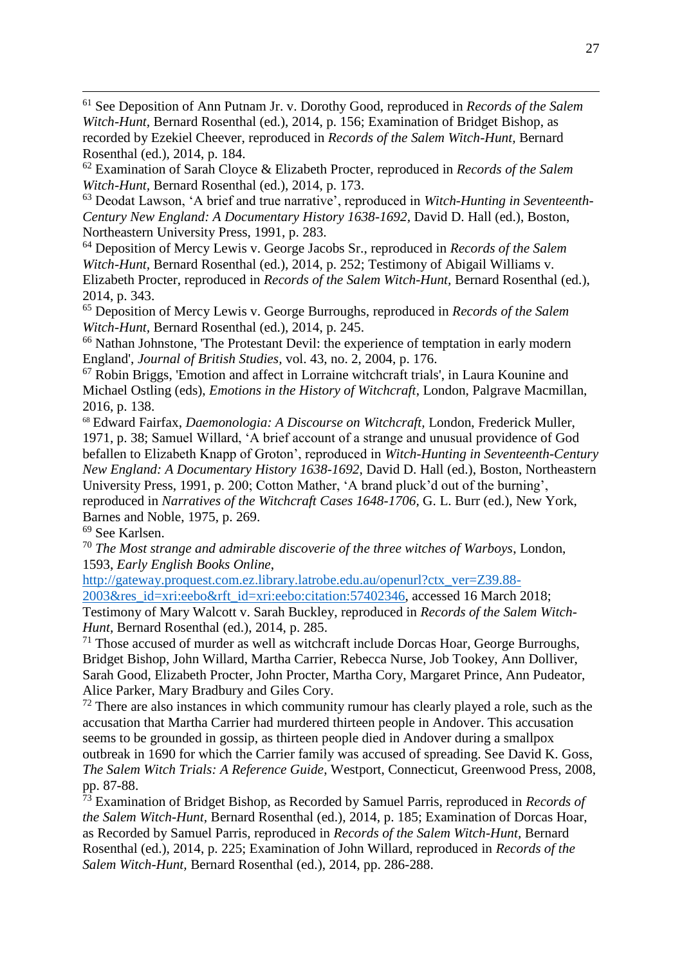<sup>61</sup> See Deposition of Ann Putnam Jr. v. Dorothy Good, reproduced in *Records of the Salem Witch-Hunt,* Bernard Rosenthal (ed.), 2014, p. 156; Examination of Bridget Bishop, as recorded by Ezekiel Cheever, reproduced in *Records of the Salem Witch-Hunt,* Bernard Rosenthal (ed.), 2014, p. 184.

<sup>62</sup> Examination of Sarah Cloyce & Elizabeth Procter, reproduced in *Records of the Salem Witch-Hunt,* Bernard Rosenthal (ed.), 2014, p. 173.

<sup>63</sup> Deodat Lawson, 'A brief and true narrative', reproduced in *Witch-Hunting in Seventeenth-Century New England: A Documentary History 1638-1692,* David D. Hall (ed.), Boston, Northeastern University Press, 1991, p. 283.

<sup>64</sup> Deposition of Mercy Lewis v. George Jacobs Sr., reproduced in *Records of the Salem Witch-Hunt,* Bernard Rosenthal (ed.), 2014, p. 252; Testimony of Abigail Williams v. Elizabeth Procter, reproduced in *Records of the Salem Witch-Hunt,* Bernard Rosenthal (ed.), 2014, p. 343.

<sup>65</sup> Deposition of Mercy Lewis v. George Burroughs, reproduced in *Records of the Salem Witch-Hunt,* Bernard Rosenthal (ed.), 2014, p. 245.

<sup>66</sup> Nathan Johnstone, 'The Protestant Devil: the experience of temptation in early modern England', *Journal of British Studies,* vol. 43, no. 2, 2004, p. 176.

<sup>67</sup> Robin Briggs, 'Emotion and affect in Lorraine witchcraft trials', in Laura Kounine and Michael Ostling (eds), *Emotions in the History of Witchcraft*, London, Palgrave Macmillan, 2016, p. 138.

<sup>68</sup> Edward Fairfax, *Daemonologia: A Discourse on Witchcraft,* London, Frederick Muller, 1971, p. 38; Samuel Willard, 'A brief account of a strange and unusual providence of God befallen to Elizabeth Knapp of Groton', reproduced in *Witch-Hunting in Seventeenth-Century New England: A Documentary History 1638-1692,* David D. Hall (ed.), Boston, Northeastern University Press, 1991, p. 200; Cotton Mather, 'A brand pluck'd out of the burning', reproduced in *Narratives of the Witchcraft Cases 1648-1706,* G. L. Burr (ed.), New York, Barnes and Noble, 1975, p. 269.

<sup>69</sup> See Karlsen.

 $\overline{a}$ 

<sup>70</sup> *The Most strange and admirable discoverie of the three witches of Warboys*, London, 1593, *Early English Books Online*,

[http://gateway.proquest.com.ez.library.latrobe.edu.au/openurl?ctx\\_ver=Z39.88-](http://gateway.proquest.com.ez.library.latrobe.edu.au/openurl?ctx_ver=Z39.88-2003&res_id=xri:eebo&rft_id=xri:eebo:citation:57402346) [2003&res\\_id=xri:eebo&rft\\_id=xri:eebo:citation:57402346,](http://gateway.proquest.com.ez.library.latrobe.edu.au/openurl?ctx_ver=Z39.88-2003&res_id=xri:eebo&rft_id=xri:eebo:citation:57402346) accessed 16 March 2018; Testimony of Mary Walcott v. Sarah Buckley, reproduced in *Records of the Salem Witch-Hunt,* Bernard Rosenthal (ed.), 2014, p. 285.

 $71$  Those accused of murder as well as witchcraft include Dorcas Hoar, George Burroughs, Bridget Bishop, John Willard, Martha Carrier, Rebecca Nurse, Job Tookey, Ann Dolliver, Sarah Good, Elizabeth Procter, John Procter, Martha Cory, Margaret Prince, Ann Pudeator, Alice Parker, Mary Bradbury and Giles Cory.

 $72$  There are also instances in which community rumour has clearly played a role, such as the accusation that Martha Carrier had murdered thirteen people in Andover. This accusation seems to be grounded in gossip, as thirteen people died in Andover during a smallpox outbreak in 1690 for which the Carrier family was accused of spreading. See David K. Goss, *The Salem Witch Trials: A Reference Guide*, Westport, Connecticut, Greenwood Press, 2008, pp. 87-88.

<sup>73</sup> Examination of Bridget Bishop, as Recorded by Samuel Parris, reproduced in *Records of the Salem Witch-Hunt,* Bernard Rosenthal (ed.), 2014, p. 185; Examination of Dorcas Hoar, as Recorded by Samuel Parris, reproduced in *Records of the Salem Witch-Hunt,* Bernard Rosenthal (ed.), 2014, p. 225; Examination of John Willard, reproduced in *Records of the Salem Witch-Hunt,* Bernard Rosenthal (ed.), 2014, pp. 286-288.